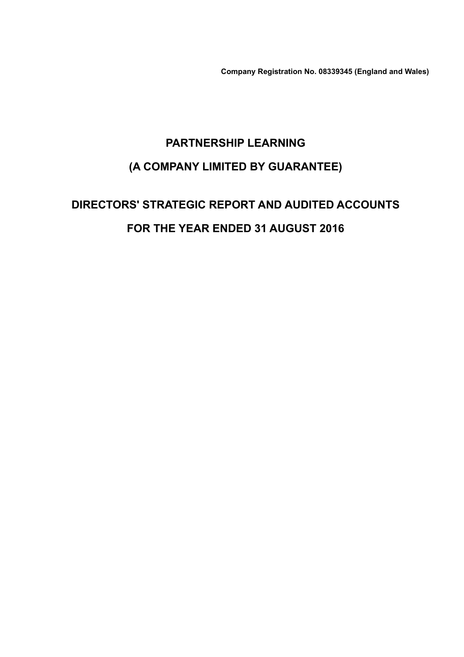Company Registration No. 08339345 (England and Wales)

# PARTNERSHIP LEARNING (A COMPANY LIMITED BY GUARANTEE)

# DIRECTORS' STRATEGIC REPORT AND AUDITED ACCOUNTS FOR THE YEAR ENDED 31 AUGUST 2016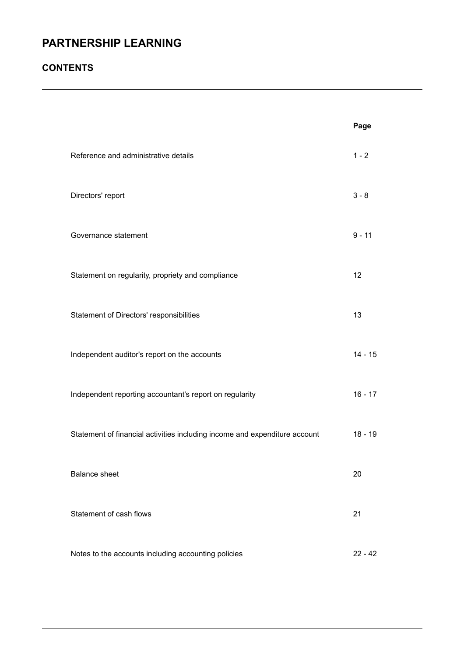### **CONTENTS**

|                                                                            | Page      |
|----------------------------------------------------------------------------|-----------|
| Reference and administrative details                                       | $1 - 2$   |
| Directors' report                                                          | $3 - 8$   |
| Governance statement                                                       | $9 - 11$  |
| Statement on regularity, propriety and compliance                          | 12        |
| Statement of Directors' responsibilities                                   | 13        |
| Independent auditor's report on the accounts                               | $14 - 15$ |
| Independent reporting accountant's report on regularity                    | $16 - 17$ |
| Statement of financial activities including income and expenditure account | $18 - 19$ |
| <b>Balance sheet</b>                                                       | 20        |
| Statement of cash flows                                                    | 21        |
| Notes to the accounts including accounting policies                        | $22 - 42$ |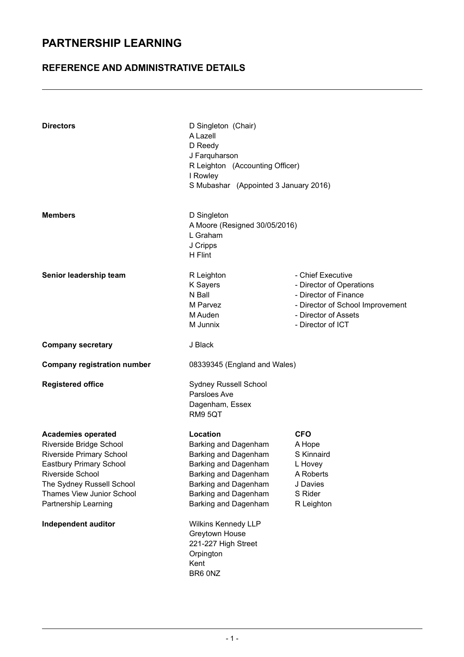### REFERENCE AND ADMINISTRATIVE DETAILS

| <b>Directors</b>                                                                                                                                                                                                                                | D Singleton (Chair)<br>A Lazell<br>D Reedy<br>J Farquharson<br>R Leighton (Accounting Officer)<br>I Rowley<br>S Mubashar (Appointed 3 January 2016)                                                                                                                              |                                                                                                                                                         |  |  |
|-------------------------------------------------------------------------------------------------------------------------------------------------------------------------------------------------------------------------------------------------|----------------------------------------------------------------------------------------------------------------------------------------------------------------------------------------------------------------------------------------------------------------------------------|---------------------------------------------------------------------------------------------------------------------------------------------------------|--|--|
| <b>Members</b>                                                                                                                                                                                                                                  | D Singleton<br>A Moore (Resigned 30/05/2016)<br>L Graham<br>J Cripps<br>H Flint                                                                                                                                                                                                  |                                                                                                                                                         |  |  |
| Senior leadership team                                                                                                                                                                                                                          | R Leighton<br>K Sayers<br>N Ball<br>M Parvez<br>M Auden<br>M Junnix                                                                                                                                                                                                              | - Chief Executive<br>- Director of Operations<br>- Director of Finance<br>- Director of School Improvement<br>- Director of Assets<br>- Director of ICT |  |  |
| <b>Company secretary</b>                                                                                                                                                                                                                        | J Black                                                                                                                                                                                                                                                                          |                                                                                                                                                         |  |  |
| <b>Company registration number</b>                                                                                                                                                                                                              | 08339345 (England and Wales)                                                                                                                                                                                                                                                     |                                                                                                                                                         |  |  |
| <b>Registered office</b>                                                                                                                                                                                                                        | Sydney Russell School<br>Parsloes Ave<br>Dagenham, Essex<br>RM9 5QT                                                                                                                                                                                                              |                                                                                                                                                         |  |  |
| <b>Academies operated</b><br>Riverside Bridge School<br><b>Riverside Primary School</b><br>Eastbury Primary School<br>Riverside School<br>The Sydney Russell School<br>Thames View Junior School<br>Partnership Learning<br>Independent auditor | Location<br>Barking and Dagenham<br>Barking and Dagenham<br>Barking and Dagenham<br>Barking and Dagenham<br>Barking and Dagenham<br>Barking and Dagenham<br>Barking and Dagenham<br>Wilkins Kennedy LLP<br>Greytown House<br>221-227 High Street<br>Orpington<br>Kent<br>BR6 0NZ | <b>CFO</b><br>A Hope<br>S Kinnaird<br>L Hovey<br>A Roberts<br>J Davies<br>S Rider<br>R Leighton                                                         |  |  |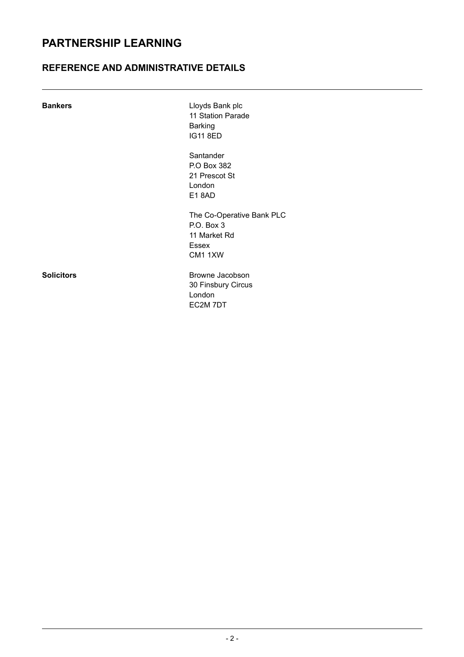### REFERENCE AND ADMINISTRATIVE DETAILS

| <b>Bankers</b>    | Lloyds Bank plc<br>11 Station Parade<br><b>Barking</b><br><b>IG11 8ED</b>          |
|-------------------|------------------------------------------------------------------------------------|
|                   | Santander<br>P.O Box 382<br>21 Prescot St<br>London<br><b>E18AD</b>                |
|                   | The Co-Operative Bank PLC<br>P.O. Box 3<br>11 Market Rd<br><b>Essex</b><br>CM1 1XW |
| <b>Solicitors</b> | Browne Jacobson<br>30 Finsbury Circus<br>London<br>EC2M 7DT                        |

- 2 -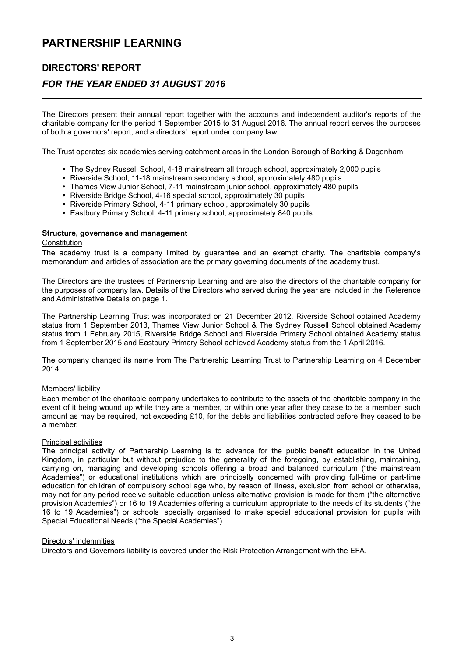### DIRECTORS' REPORT

### FOR THE YEAR ENDED 31 AUGUST 2016

The Directors present their annual report together with the accounts and independent auditor's reports of the charitable company for the period 1 September 2015 to 31 August 2016. The annual report serves the purposes of both a governors' report, and a directors' report under company law.

The Trust operates six academies serving catchment areas in the London Borough of Barking & Dagenham:

- The Sydney Russell School, 4-18 mainstream all through school, approximately 2,000 pupils
- Riverside School, 11-18 mainstream secondary school, approximately 480 pupils
- Thames View Junior School, 7-11 mainstream junior school, approximately 480 pupils
- Riverside Bridge School, 4-16 special school, approximately 30 pupils
- Riverside Primary School, 4-11 primary school, approximately 30 pupils
- Eastbury Primary School, 4-11 primary school, approximately 840 pupils

#### Structure, governance and management

#### **Constitution**

The academy trust is a company limited by guarantee and an exempt charity. The charitable company's memorandum and articles of association are the primary governing documents of the academy trust.

The Directors are the trustees of Partnership Learning and are also the directors of the charitable company for the purposes of company law. Details of the Directors who served during the year are included in the Reference and Administrative Details on page 1.

The Partnership Learning Trust was incorporated on 21 December 2012. Riverside School obtained Academy status from 1 September 2013, Thames View Junior School & The Sydney Russell School obtained Academy status from 1 February 2015, Riverside Bridge School and Riverside Primary School obtained Academy status from 1 September 2015 and Eastbury Primary School achieved Academy status from the 1 April 2016.

The company changed its name from The Partnership Learning Trust to Partnership Learning on 4 December 2014.

#### Members' liability

Each member of the charitable company undertakes to contribute to the assets of the charitable company in the event of it being wound up while they are a member, or within one year after they cease to be a member, such amount as may be required, not exceeding £10, for the debts and liabilities contracted before they ceased to be a member.

#### Principal activities

The principal activity of Partnership Learning is to advance for the public benefit education in the United Kingdom, in particular but without prejudice to the generality of the foregoing, by establishing, maintaining, carrying on, managing and developing schools offering a broad and balanced curriculum ("the mainstream Academies") or educational institutions which are principally concerned with providing full-time or part-time education for children of compulsory school age who, by reason of illness, exclusion from school or otherwise, may not for any period receive suitable education unless alternative provision is made for them ("the alternative provision Academies") or 16 to 19 Academies offering a curriculum appropriate to the needs of its students ("the 16 to 19 Academies") or schools specially organised to make special educational provision for pupils with Special Educational Needs ("the Special Academies").

#### Directors' indemnities

Directors and Governors liability is covered under the Risk Protection Arrangement with the EFA.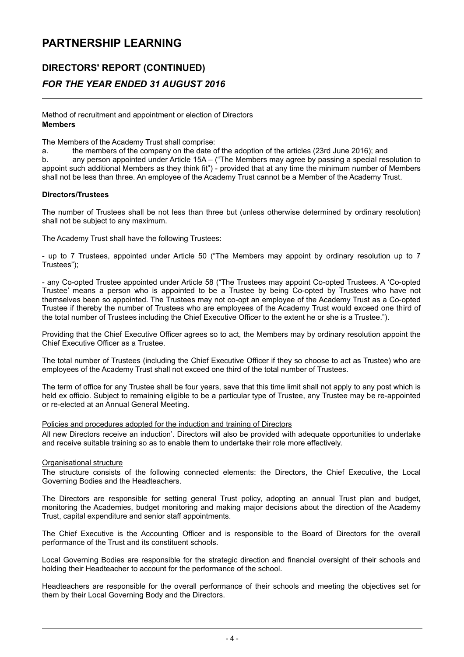### DIRECTORS' REPORT (CONTINUED) FOR THE YEAR ENDED 31 AUGUST 2016

#### Method of recruitment and appointment or election of Directors Members

The Members of the Academy Trust shall comprise:

a. the members of the company on the date of the adoption of the articles (23rd June 2016); and b. any person appointed under Article 15A – ("The Members may agree by passing a special resolution to appoint such additional Members as they think fit") - provided that at any time the minimum number of Members shall not be less than three. An employee of the Academy Trust cannot be a Member of the Academy Trust.

#### Directors/Trustees

The number of Trustees shall be not less than three but (unless otherwise determined by ordinary resolution) shall not be subject to any maximum.

The Academy Trust shall have the following Trustees:

- up to 7 Trustees, appointed under Article 50 ("The Members may appoint by ordinary resolution up to 7 Trustees");

- any Co-opted Trustee appointed under Article 58 ("The Trustees may appoint Co-opted Trustees. A 'Co-opted Trustee' means a person who is appointed to be a Trustee by being Co-opted by Trustees who have not themselves been so appointed. The Trustees may not co-opt an employee of the Academy Trust as a Co-opted Trustee if thereby the number of Trustees who are employees of the Academy Trust would exceed one third of the total number of Trustees including the Chief Executive Officer to the extent he or she is a Trustee.").

Providing that the Chief Executive Officer agrees so to act, the Members may by ordinary resolution appoint the Chief Executive Officer as a Trustee.

The total number of Trustees (including the Chief Executive Officer if they so choose to act as Trustee) who are employees of the Academy Trust shall not exceed one third of the total number of Trustees.

The term of office for any Trustee shall be four years, save that this time limit shall not apply to any post which is held ex officio. Subject to remaining eligible to be a particular type of Trustee, any Trustee may be re-appointed or re-elected at an Annual General Meeting.

#### Policies and procedures adopted for the induction and training of Directors

All new Directors receive an induction'. Directors will also be provided with adequate opportunities to undertake and receive suitable training so as to enable them to undertake their role more effectively.

#### Organisational structure

The structure consists of the following connected elements: the Directors, the Chief Executive, the Local Governing Bodies and the Headteachers.

The Directors are responsible for setting general Trust policy, adopting an annual Trust plan and budget, monitoring the Academies, budget monitoring and making major decisions about the direction of the Academy Trust, capital expenditure and senior staff appointments.

The Chief Executive is the Accounting Officer and is responsible to the Board of Directors for the overall performance of the Trust and its constituent schools.

Local Governing Bodies are responsible for the strategic direction and financial oversight of their schools and holding their Headteacher to account for the performance of the school.

Headteachers are responsible for the overall performance of their schools and meeting the objectives set for them by their Local Governing Body and the Directors.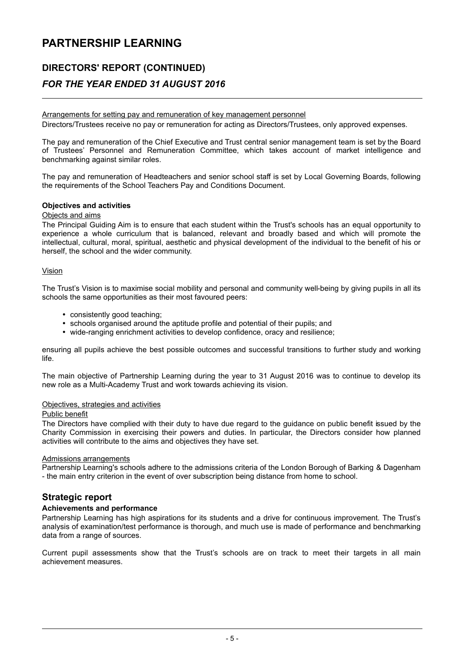### DIRECTORS' REPORT (CONTINUED)

### FOR THE YEAR ENDED 31 AUGUST 2016

Arrangements for setting pay and remuneration of key management personnel

Directors/Trustees receive no pay or remuneration for acting as Directors/Trustees, only approved expenses.

The pay and remuneration of the Chief Executive and Trust central senior management team is set by the Board of Trustees' Personnel and Remuneration Committee, which takes account of market intelligence and benchmarking against similar roles.

The pay and remuneration of Headteachers and senior school staff is set by Local Governing Boards, following the requirements of the School Teachers Pay and Conditions Document.

#### Objectives and activities

#### Objects and aims

The Principal Guiding Aim is to ensure that each student within the Trust's schools has an equal opportunity to experience a whole curriculum that is balanced, relevant and broadly based and which will promote the intellectual, cultural, moral, spiritual, aesthetic and physical development of the individual to the benefit of his or herself, the school and the wider community.

#### Vision

The Trust's Vision is to maximise social mobility and personal and community well-being by giving pupils in all its schools the same opportunities as their most favoured peers:

- consistently good teaching;
- schools organised around the aptitude profile and potential of their pupils; and
- wide-ranging enrichment activities to develop confidence, oracy and resilience;

ensuring all pupils achieve the best possible outcomes and successful transitions to further study and working life.

The main objective of Partnership Learning during the year to 31 August 2016 was to continue to develop its new role as a Multi-Academy Trust and work towards achieving its vision.

#### Objectives, strategies and activities

#### Public benefit

The Directors have complied with their duty to have due regard to the guidance on public benefit issued by the Charity Commission in exercising their powers and duties. In particular, the Directors consider how planned activities will contribute to the aims and objectives they have set.

#### Admissions arrangements

Partnership Learning's schools adhere to the admissions criteria of the London Borough of Barking & Dagenham - the main entry criterion in the event of over subscription being distance from home to school.

#### Strategic report

#### Achievements and performance

Partnership Learning has high aspirations for its students and a drive for continuous improvement. The Trust's analysis of examination/test performance is thorough, and much use is made of performance and benchmarking data from a range of sources.

Current pupil assessments show that the Trust's schools are on track to meet their targets in all main achievement measures.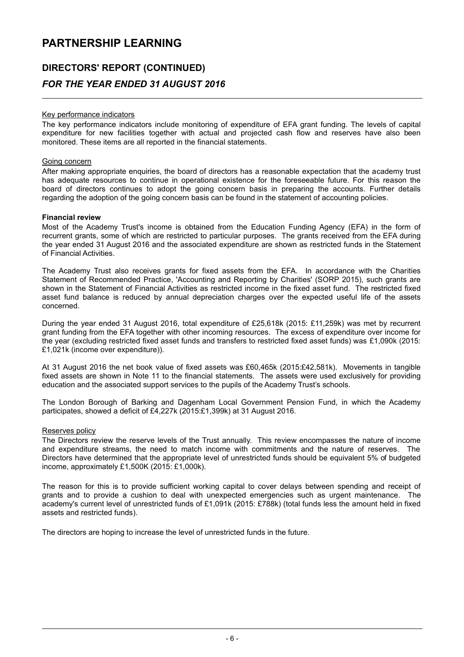### DIRECTORS' REPORT (CONTINUED) FOR THE YEAR ENDED 31 AUGUST 2016

#### Key performance indicators

The key performance indicators include monitoring of expenditure of EFA grant funding. The levels of capital expenditure for new facilities together with actual and projected cash flow and reserves have also been monitored. These items are all reported in the financial statements.

#### Going concern

After making appropriate enquiries, the board of directors has a reasonable expectation that the academy trust has adequate resources to continue in operational existence for the foreseeable future. For this reason the board of directors continues to adopt the going concern basis in preparing the accounts. Further details regarding the adoption of the going concern basis can be found in the statement of accounting policies.

#### Financial review

Most of the Academy Trust's income is obtained from the Education Funding Agency (EFA) in the form of recurrent grants, some of which are restricted to particular purposes. The grants received from the EFA during the year ended 31 August 2016 and the associated expenditure are shown as restricted funds in the Statement of Financial Activities.

The Academy Trust also receives grants for fixed assets from the EFA. In accordance with the Charities Statement of Recommended Practice, 'Accounting and Reporting by Charities' (SORP 2015), such grants are shown in the Statement of Financial Activities as restricted income in the fixed asset fund. The restricted fixed asset fund balance is reduced by annual depreciation charges over the expected useful life of the assets concerned.

During the year ended 31 August 2016, total expenditure of £25,618k (2015: £11,259k) was met by recurrent grant funding from the EFA together with other incoming resources. The excess of expenditure over income for the year (excluding restricted fixed asset funds and transfers to restricted fixed asset funds) was £1,090k (2015: £1,021k (income over expenditure)).

At 31 August 2016 the net book value of fixed assets was £60,465k (2015:£42,581k). Movements in tangible fixed assets are shown in Note 11 to the financial statements. The assets were used exclusively for providing education and the associated support services to the pupils of the Academy Trust's schools.

The London Borough of Barking and Dagenham Local Government Pension Fund, in which the Academy participates, showed a deficit of £4,227k (2015:£1,399k) at 31 August 2016.

#### Reserves policy

The Directors review the reserve levels of the Trust annually. This review encompasses the nature of income and expenditure streams, the need to match income with commitments and the nature of reserves. The Directors have determined that the appropriate level of unrestricted funds should be equivalent 5% of budgeted income, approximately £1,500K (2015: £1,000k).

The reason for this is to provide sufficient working capital to cover delays between spending and receipt of grants and to provide a cushion to deal with unexpected emergencies such as urgent maintenance. The academy's current level of unrestricted funds of £1,091k (2015: £788k) (total funds less the amount held in fixed assets and restricted funds).

The directors are hoping to increase the level of unrestricted funds in the future.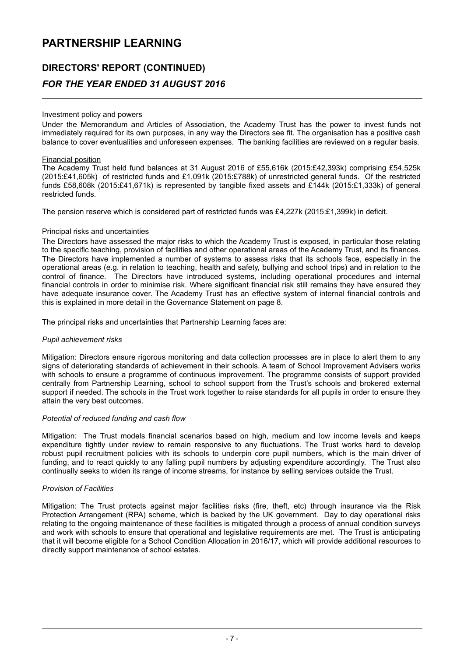### DIRECTORS' REPORT (CONTINUED) FOR THE YEAR ENDED 31 AUGUST 2016

#### Investment policy and powers

Under the Memorandum and Articles of Association, the Academy Trust has the power to invest funds not immediately required for its own purposes, in any way the Directors see fit. The organisation has a positive cash balance to cover eventualities and unforeseen expenses. The banking facilities are reviewed on a regular basis.

#### Financial position

The Academy Trust held fund balances at 31 August 2016 of £55,616k (2015:£42,393k) comprising £54,525k (2015:£41,605k) of restricted funds and £1,091k (2015:£788k) of unrestricted general funds. Of the restricted funds £58,608k (2015:£41,671k) is represented by tangible fixed assets and £144k (2015:£1,333k) of general restricted funds.

The pension reserve which is considered part of restricted funds was £4,227k (2015:£1,399k) in deficit.

#### Principal risks and uncertainties

The Directors have assessed the major risks to which the Academy Trust is exposed, in particular those relating to the specific teaching, provision of facilities and other operational areas of the Academy Trust, and its finances. The Directors have implemented a number of systems to assess risks that its schools face, especially in the operational areas (e.g. in relation to teaching, health and safety, bullying and school trips) and in relation to the control of finance. The Directors have introduced systems, including operational procedures and internal financial controls in order to minimise risk. Where significant financial risk still remains they have ensured they have adequate insurance cover. The Academy Trust has an effective system of internal financial controls and this is explained in more detail in the Governance Statement on page 8.

The principal risks and uncertainties that Partnership Learning faces are:

#### Pupil achievement risks

Mitigation: Directors ensure rigorous monitoring and data collection processes are in place to alert them to any signs of deteriorating standards of achievement in their schools. A team of School Improvement Advisers works with schools to ensure a programme of continuous improvement. The programme consists of support provided centrally from Partnership Learning, school to school support from the Trust's schools and brokered external support if needed. The schools in the Trust work together to raise standards for all pupils in order to ensure they attain the very best outcomes.

#### Potential of reduced funding and cash flow

Mitigation: The Trust models financial scenarios based on high, medium and low income levels and keeps expenditure tightly under review to remain responsive to any fluctuations. The Trust works hard to develop robust pupil recruitment policies with its schools to underpin core pupil numbers, which is the main driver of funding, and to react quickly to any falling pupil numbers by adjusting expenditure accordingly. The Trust also continually seeks to widen its range of income streams, for instance by selling services outside the Trust.

#### Provision of Facilities

Mitigation: The Trust protects against major facilities risks (fire, theft, etc) through insurance via the Risk Protection Arrangement (RPA) scheme, which is backed by the UK government. Day to day operational risks relating to the ongoing maintenance of these facilities is mitigated through a process of annual condition surveys and work with schools to ensure that operational and legislative requirements are met. The Trust is anticipating that it will become eligible for a School Condition Allocation in 2016/17, which will provide additional resources to directly support maintenance of school estates.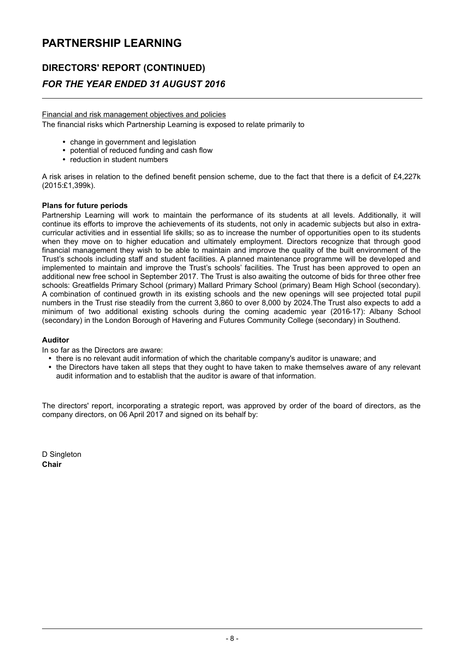### DIRECTORS' REPORT (CONTINUED)

### FOR THE YEAR ENDED 31 AUGUST 2016

Financial and risk management objectives and policies The financial risks which Partnership Learning is exposed to relate primarily to

- change in government and legislation
- potential of reduced funding and cash flow
- reduction in student numbers

A risk arises in relation to the defined benefit pension scheme, due to the fact that there is a deficit of £4,227k (2015:£1,399k).

#### Plans for future periods

Partnership Learning will work to maintain the performance of its students at all levels. Additionally, it will continue its efforts to improve the achievements of its students, not only in academic subjects but also in extracurricular activities and in essential life skills; so as to increase the number of opportunities open to its students when they move on to higher education and ultimately employment. Directors recognize that through good financial management they wish to be able to maintain and improve the quality of the built environment of the Trust's schools including staff and student facilities. A planned maintenance programme will be developed and implemented to maintain and improve the Trust's schools' facilities. The Trust has been approved to open an additional new free school in September 2017. The Trust is also awaiting the outcome of bids for three other free schools: Greatfields Primary School (primary) Mallard Primary School (primary) Beam High School (secondary). A combination of continued growth in its existing schools and the new openings will see projected total pupil numbers in the Trust rise steadily from the current 3,860 to over 8,000 by 2024.The Trust also expects to add a minimum of two additional existing schools during the coming academic year (2016-17): Albany School (secondary) in the London Borough of Havering and Futures Community College (secondary) in Southend.

#### Auditor

In so far as the Directors are aware:

- there is no relevant audit information of which the charitable company's auditor is unaware; and
- the Directors have taken all steps that they ought to have taken to make themselves aware of any relevant audit information and to establish that the auditor is aware of that information.

The directors' report, incorporating a strategic report, was approved by order of the board of directors, as the company directors, on 06 April 2017 and signed on its behalf by:

D Singleton Chair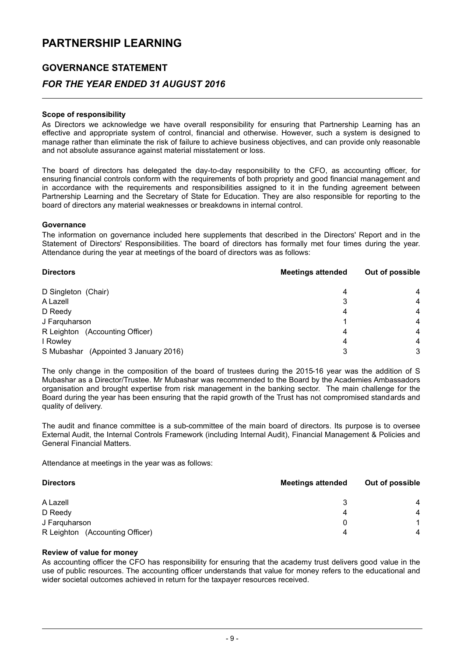### GOVERNANCE STATEMENT

### FOR THE YEAR ENDED 31 AUGUST 2016

#### Scope of responsibility

As Directors we acknowledge we have overall responsibility for ensuring that Partnership Learning has an effective and appropriate system of control, financial and otherwise. However, such a system is designed to manage rather than eliminate the risk of failure to achieve business objectives, and can provide only reasonable and not absolute assurance against material misstatement or loss.

The board of directors has delegated the day-to-day responsibility to the CFO, as accounting officer, for ensuring financial controls conform with the requirements of both propriety and good financial management and in accordance with the requirements and responsibilities assigned to it in the funding agreement between Partnership Learning and the Secretary of State for Education. They are also responsible for reporting to the board of directors any material weaknesses or breakdowns in internal control.

#### Governance

The information on governance included here supplements that described in the Directors' Report and in the Statement of Directors' Responsibilities. The board of directors has formally met four times during the year. Attendance during the year at meetings of the board of directors was as follows:

| <b>Directors</b>                      | <b>Meetings attended</b> | Out of possible |  |
|---------------------------------------|--------------------------|-----------------|--|
| D Singleton (Chair)                   | 4                        | $\overline{4}$  |  |
| A Lazell                              | 3                        | 4               |  |
| D Reedy                               | 4                        | 4               |  |
| J Farquharson                         |                          | 4               |  |
| R Leighton (Accounting Officer)       | 4                        | 4               |  |
| I Rowley                              | 4                        | 4               |  |
| S Mubashar (Appointed 3 January 2016) | 3                        | 3               |  |

The only change in the composition of the board of trustees during the 2015-16 year was the addition of S Mubashar as a Director/Trustee. Mr Mubashar was recommended to the Board by the Academies Ambassadors organisation and brought expertise from risk management in the banking sector. The main challenge for the Board during the year has been ensuring that the rapid growth of the Trust has not compromised standards and quality of delivery.

The audit and finance committee is a sub-committee of the main board of directors. Its purpose is to oversee External Audit, the Internal Controls Framework (including Internal Audit), Financial Management & Policies and General Financial Matters.

Attendance at meetings in the year was as follows:

| <b>Directors</b>                | <b>Meetings attended</b> | Out of possible |  |
|---------------------------------|--------------------------|-----------------|--|
| A Lazell                        | 3                        | 4               |  |
| D Reedy                         | 4                        | $\overline{4}$  |  |
| J Farquharson                   | 0                        |                 |  |
| R Leighton (Accounting Officer) | 4                        |                 |  |

#### Review of value for money

As accounting officer the CFO has responsibility for ensuring that the academy trust delivers good value in the use of public resources. The accounting officer understands that value for money refers to the educational and wider societal outcomes achieved in return for the taxpayer resources received.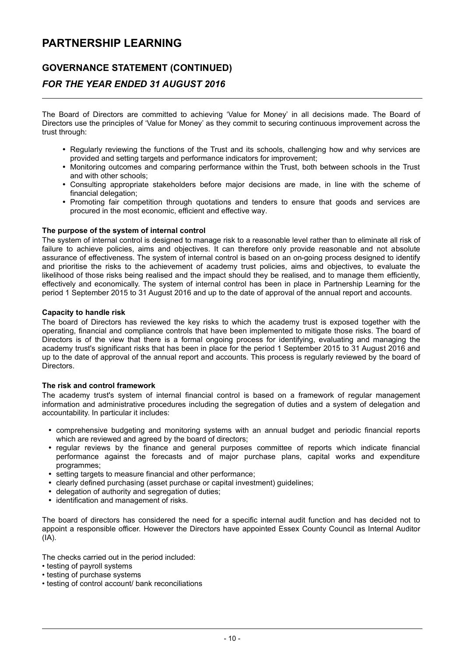### GOVERNANCE STATEMENT (CONTINUED)

### FOR THE YEAR ENDED 31 AUGUST 2016

The Board of Directors are committed to achieving ʻValue for Money' in all decisions made. The Board of Directors use the principles of ʻValue for Money' as they commit to securing continuous improvement across the trust through:

- Regularly reviewing the functions of the Trust and its schools, challenging how and why services are provided and setting targets and performance indicators for improvement;
- Monitoring outcomes and comparing performance within the Trust, both between schools in the Trust and with other schools;
- Consulting appropriate stakeholders before major decisions are made, in line with the scheme of financial delegation;
- Promoting fair competition through quotations and tenders to ensure that goods and services are procured in the most economic, efficient and effective way.

#### The purpose of the system of internal control

The system of internal control is designed to manage risk to a reasonable level rather than to eliminate all risk of failure to achieve policies, aims and objectives. It can therefore only provide reasonable and not absolute assurance of effectiveness. The system of internal control is based on an on-going process designed to identify and prioritise the risks to the achievement of academy trust policies, aims and objectives, to evaluate the likelihood of those risks being realised and the impact should they be realised, and to manage them efficiently, effectively and economically. The system of internal control has been in place in Partnership Learning for the period 1 September 2015 to 31 August 2016 and up to the date of approval of the annual report and accounts.

#### Capacity to handle risk

The board of Directors has reviewed the key risks to which the academy trust is exposed together with the operating, financial and compliance controls that have been implemented to mitigate those risks. The board of Directors is of the view that there is a formal ongoing process for identifying, evaluating and managing the academy trust's significant risks that has been in place for the period 1 September 2015 to 31 August 2016 and up to the date of approval of the annual report and accounts. This process is regularly reviewed by the board of **Directors** 

#### The risk and control framework

The academy trust's system of internal financial control is based on a framework of regular management information and administrative procedures including the segregation of duties and a system of delegation and accountability. In particular it includes:

- comprehensive budgeting and monitoring systems with an annual budget and periodic financial reports which are reviewed and agreed by the board of directors;
- regular reviews by the finance and general purposes committee of reports which indicate financial performance against the forecasts and of major purchase plans, capital works and expenditure programmes;
- setting targets to measure financial and other performance;
- clearly defined purchasing (asset purchase or capital investment) guidelines;
- delegation of authority and segregation of duties;
- identification and management of risks.

The board of directors has considered the need for a specific internal audit function and has decided not to appoint a responsible officer. However the Directors have appointed Essex County Council as Internal Auditor  $(IA)$ .

The checks carried out in the period included:

- testing of payroll systems
- testing of purchase systems
- testing of control account/ bank reconciliations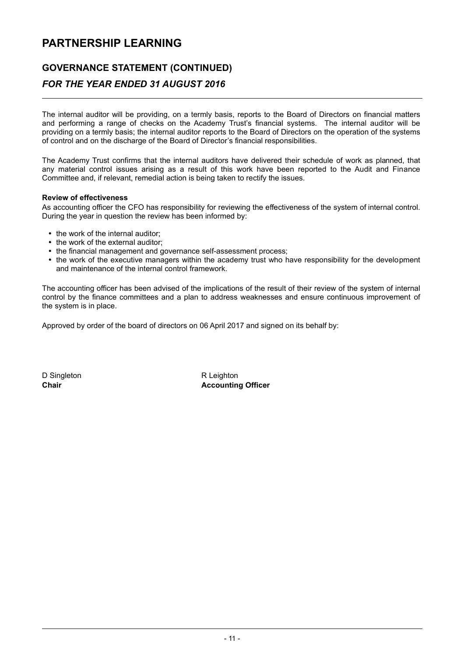### GOVERNANCE STATEMENT (CONTINUED)

### FOR THE YEAR ENDED 31 AUGUST 2016

The internal auditor will be providing, on a termly basis, reports to the Board of Directors on financial matters and performing a range of checks on the Academy Trust's financial systems. The internal auditor will be providing on a termly basis; the internal auditor reports to the Board of Directors on the operation of the systems of control and on the discharge of the Board of Director's financial responsibilities.

The Academy Trust confirms that the internal auditors have delivered their schedule of work as planned, that any material control issues arising as a result of this work have been reported to the Audit and Finance Committee and, if relevant, remedial action is being taken to rectify the issues.

#### Review of effectiveness

As accounting officer the CFO has responsibility for reviewing the effectiveness of the system of internal control. During the year in question the review has been informed by:

- the work of the internal auditor;
- the work of the external auditor;
- the financial management and governance self-assessment process;
- the work of the executive managers within the academy trust who have responsibility for the development and maintenance of the internal control framework.

The accounting officer has been advised of the implications of the result of their review of the system of internal control by the finance committees and a plan to address weaknesses and ensure continuous improvement of the system is in place.

Approved by order of the board of directors on 06 April 2017 and signed on its behalf by:

D Singleton R Leighton

Chair **Chair Chair Chair Chair Chair Chair Chair Chair Chair Chair Chair Chair Chair Chair Chair Chair Chair Chair Chair Chair Chair Chair Chair Chair Chair Chair Chair**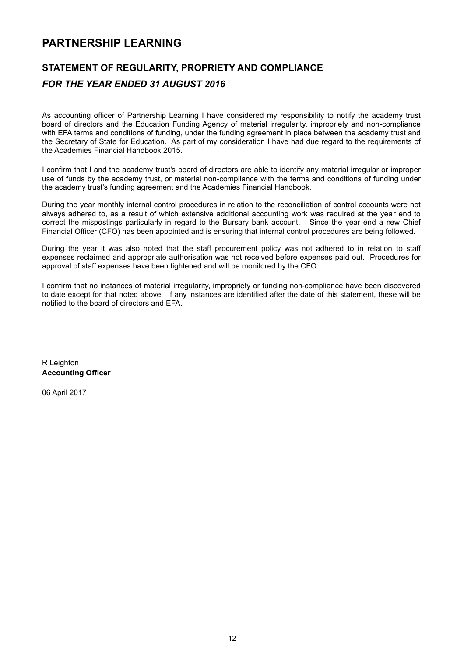### STATEMENT OF REGULARITY, PROPRIETY AND COMPLIANCE

### FOR THE YEAR ENDED 31 AUGUST 2016

As accounting officer of Partnership Learning I have considered my responsibility to notify the academy trust board of directors and the Education Funding Agency of material irregularity, impropriety and non-compliance with EFA terms and conditions of funding, under the funding agreement in place between the academy trust and the Secretary of State for Education. As part of my consideration I have had due regard to the requirements of the Academies Financial Handbook 2015.

I confirm that I and the academy trust's board of directors are able to identify any material irregular or improper use of funds by the academy trust, or material non-compliance with the terms and conditions of funding under the academy trust's funding agreement and the Academies Financial Handbook.

During the year monthly internal control procedures in relation to the reconciliation of control accounts were not always adhered to, as a result of which extensive additional accounting work was required at the year end to correct the mispostings particularly in regard to the Bursary bank account. Since the year end a new Chief Financial Officer (CFO) has been appointed and is ensuring that internal control procedures are being followed.

During the year it was also noted that the staff procurement policy was not adhered to in relation to staff expenses reclaimed and appropriate authorisation was not received before expenses paid out. Procedures for approval of staff expenses have been tightened and will be monitored by the CFO.

I confirm that no instances of material irregularity, impropriety or funding non-compliance have been discovered to date except for that noted above. If any instances are identified after the date of this statement, these will be notified to the board of directors and EFA.

R Leighton Accounting Officer

06 April 2017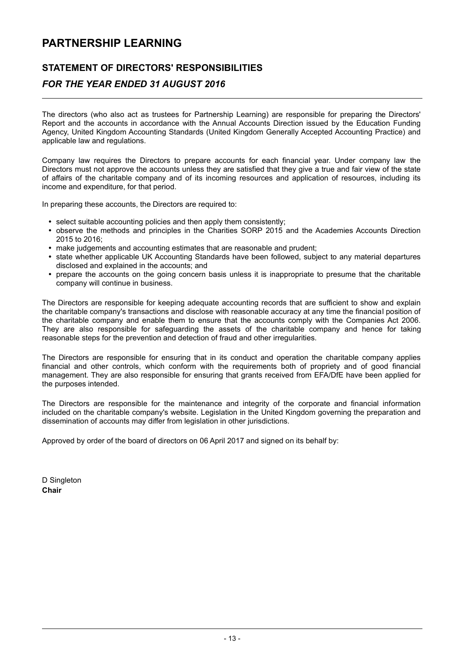### STATEMENT OF DIRECTORS' RESPONSIBILITIES

### FOR THE YEAR ENDED 31 AUGUST 2016

The directors (who also act as trustees for Partnership Learning) are responsible for preparing the Directors' Report and the accounts in accordance with the Annual Accounts Direction issued by the Education Funding Agency, United Kingdom Accounting Standards (United Kingdom Generally Accepted Accounting Practice) and applicable law and regulations.

Company law requires the Directors to prepare accounts for each financial year. Under company law the Directors must not approve the accounts unless they are satisfied that they give a true and fair view of the state of affairs of the charitable company and of its incoming resources and application of resources, including its income and expenditure, for that period.

In preparing these accounts, the Directors are required to:

- select suitable accounting policies and then apply them consistently;
- . observe the methods and principles in the Charities SORP 2015 and the Academies Accounts Direction 2015 to 2016;
- make judgements and accounting estimates that are reasonable and prudent;
- state whether applicable UK Accounting Standards have been followed, subject to any material departures disclosed and explained in the accounts; and
- prepare the accounts on the going concern basis unless it is inappropriate to presume that the charitable company will continue in business.

The Directors are responsible for keeping adequate accounting records that are sufficient to show and explain the charitable company's transactions and disclose with reasonable accuracy at any time the financial position of the charitable company and enable them to ensure that the accounts comply with the Companies Act 2006. They are also responsible for safeguarding the assets of the charitable company and hence for taking reasonable steps for the prevention and detection of fraud and other irregularities.

The Directors are responsible for ensuring that in its conduct and operation the charitable company applies financial and other controls, which conform with the requirements both of propriety and of good financial management. They are also responsible for ensuring that grants received from EFA/DfE have been applied for the purposes intended.

The Directors are responsible for the maintenance and integrity of the corporate and financial information included on the charitable company's website. Legislation in the United Kingdom governing the preparation and dissemination of accounts may differ from legislation in other jurisdictions.

Approved by order of the board of directors on 06 April 2017 and signed on its behalf by:

D Singleton Chair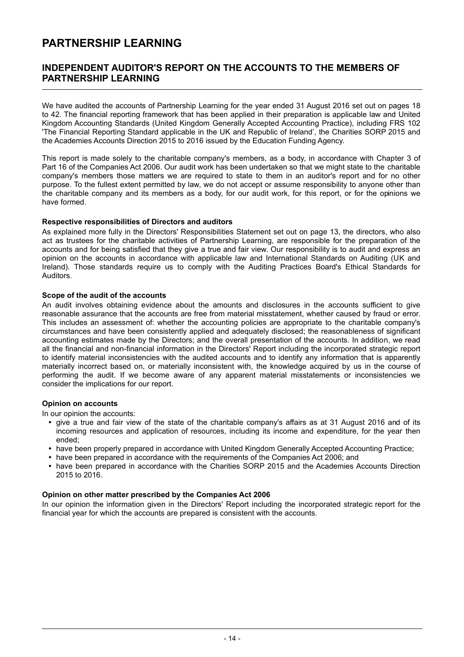### INDEPENDENT AUDITOR'S REPORT ON THE ACCOUNTS TO THE MEMBERS OF PARTNERSHIP LEARNING

We have audited the accounts of Partnership Learning for the year ended 31 August 2016 set out on pages 18 to 42. The financial reporting framework that has been applied in their preparation is applicable law and United Kingdom Accounting Standards (United Kingdom Generally Accepted Accounting Practice), including FRS 102 'The Financial Reporting Standard applicable in the UK and Republic of Ireland', the Charities SORP 2015 and the Academies Accounts Direction 2015 to 2016 issued by the Education Funding Agency.

This report is made solely to the charitable company's members, as a body, in accordance with Chapter 3 of Part 16 of the Companies Act 2006. Our audit work has been undertaken so that we might state to the charitable company's members those matters we are required to state to them in an auditor's report and for no other purpose. To the fullest extent permitted by law, we do not accept or assume responsibility to anyone other than the charitable company and its members as a body, for our audit work, for this report, or for the opinions we have formed.

#### Respective responsibilities of Directors and auditors

As explained more fully in the Directors' Responsibilities Statement set out on page 13, the directors, who also act as trustees for the charitable activities of Partnership Learning, are responsible for the preparation of the accounts and for being satisfied that they give a true and fair view. Our responsibility is to audit and express an opinion on the accounts in accordance with applicable law and International Standards on Auditing (UK and Ireland). Those standards require us to comply with the Auditing Practices Board's Ethical Standards for Auditors.

#### Scope of the audit of the accounts

An audit involves obtaining evidence about the amounts and disclosures in the accounts sufficient to give reasonable assurance that the accounts are free from material misstatement, whether caused by fraud or error. This includes an assessment of: whether the accounting policies are appropriate to the charitable company's circumstances and have been consistently applied and adequately disclosed; the reasonableness of significant accounting estimates made by the Directors; and the overall presentation of the accounts. In addition, we read all the financial and non-financial information in the Directors' Report including the incorporated strategic report to identify material inconsistencies with the audited accounts and to identify any information that is apparently materially incorrect based on, or materially inconsistent with, the knowledge acquired by us in the course of performing the audit. If we become aware of any apparent material misstatements or inconsistencies we consider the implications for our report.

#### Opinion on accounts

In our opinion the accounts:

- give a true and fair view of the state of the charitable company's affairs as at 31 August 2016 and of its incoming resources and application of resources, including its income and expenditure, for the year then ended;
- have been properly prepared in accordance with United Kingdom Generally Accepted Accounting Practice;
- have been prepared in accordance with the requirements of the Companies Act 2006; and
- have been prepared in accordance with the Charities SORP 2015 and the Academies Accounts Direction 2015 to 2016.

#### Opinion on other matter prescribed by the Companies Act 2006

In our opinion the information given in the Directors' Report including the incorporated strategic report for the financial year for which the accounts are prepared is consistent with the accounts.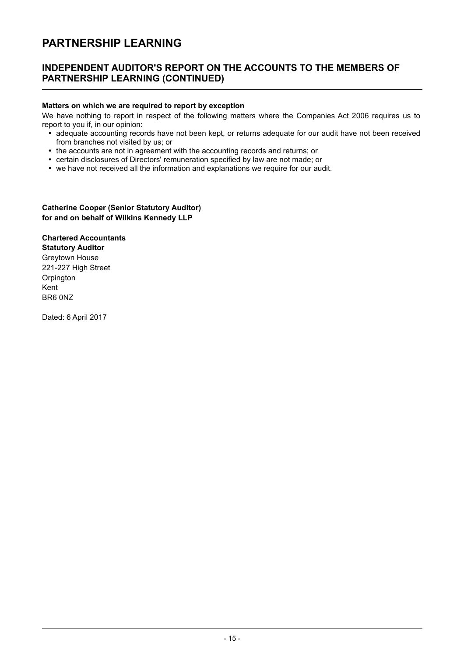### INDEPENDENT AUDITOR'S REPORT ON THE ACCOUNTS TO THE MEMBERS OF PARTNERSHIP LEARNING (CONTINUED)

#### Matters on which we are required to report by exception

We have nothing to report in respect of the following matters where the Companies Act 2006 requires us to report to you if, in our opinion:

- adequate accounting records have not been kept, or returns adequate for our audit have not been received from branches not visited by us; or
- the accounts are not in agreement with the accounting records and returns; or
- certain disclosures of Directors' remuneration specified by law are not made; or
- we have not received all the information and explanations we require for our audit.

#### Catherine Cooper (Senior Statutory Auditor) for and on behalf of Wilkins Kennedy LLP

### Chartered Accountants

Statutory Auditor Greytown House 221-227 High Street Orpington Kent BR6 0NZ

Dated: 6 April 2017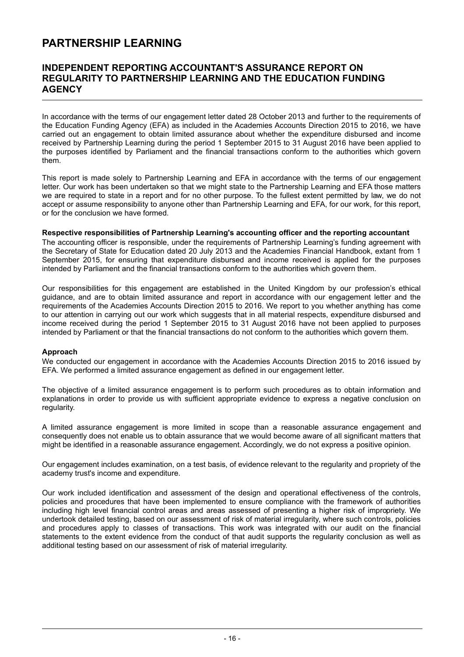### INDEPENDENT REPORTING ACCOUNTANT'S ASSURANCE REPORT ON REGULARITY TO PARTNERSHIP LEARNING AND THE EDUCATION FUNDING **AGENCY**

In accordance with the terms of our engagement letter dated 28 October 2013 and further to the requirements of the Education Funding Agency (EFA) as included in the Academies Accounts Direction 2015 to 2016, we have carried out an engagement to obtain limited assurance about whether the expenditure disbursed and income received by Partnership Learning during the period 1 September 2015 to 31 August 2016 have been applied to the purposes identified by Parliament and the financial transactions conform to the authorities which govern them.

This report is made solely to Partnership Learning and EFA in accordance with the terms of our engagement letter. Our work has been undertaken so that we might state to the Partnership Learning and EFA those matters we are required to state in a report and for no other purpose. To the fullest extent permitted by law, we do not accept or assume responsibility to anyone other than Partnership Learning and EFA, for our work, for this report, or for the conclusion we have formed.

#### Respective responsibilities of Partnership Learning's accounting officer and the reporting accountant

The accounting officer is responsible, under the requirements of Partnership Learning's funding agreement with the Secretary of State for Education dated 20 July 2013 and the Academies Financial Handbook, extant from 1 September 2015, for ensuring that expenditure disbursed and income received is applied for the purposes intended by Parliament and the financial transactions conform to the authorities which govern them.

Our responsibilities for this engagement are established in the United Kingdom by our profession's ethical guidance, and are to obtain limited assurance and report in accordance with our engagement letter and the requirements of the Academies Accounts Direction 2015 to 2016. We report to you whether anything has come to our attention in carrying out our work which suggests that in all material respects, expenditure disbursed and income received during the period 1 September 2015 to 31 August 2016 have not been applied to purposes intended by Parliament or that the financial transactions do not conform to the authorities which govern them.

#### Approach

We conducted our engagement in accordance with the Academies Accounts Direction 2015 to 2016 issued by EFA. We performed a limited assurance engagement as defined in our engagement letter.

The objective of a limited assurance engagement is to perform such procedures as to obtain information and explanations in order to provide us with sufficient appropriate evidence to express a negative conclusion on regularity.

A limited assurance engagement is more limited in scope than a reasonable assurance engagement and consequently does not enable us to obtain assurance that we would become aware of all significant matters that might be identified in a reasonable assurance engagement. Accordingly, we do not express a positive opinion.

Our engagement includes examination, on a test basis, of evidence relevant to the regularity and propriety of the academy trust's income and expenditure.

Our work included identification and assessment of the design and operational effectiveness of the controls, policies and procedures that have been implemented to ensure compliance with the framework of authorities including high level financial control areas and areas assessed of presenting a higher risk of impropriety. We undertook detailed testing, based on our assessment of risk of material irregularity, where such controls, policies and procedures apply to classes of transactions. This work was integrated with our audit on the financial statements to the extent evidence from the conduct of that audit supports the regularity conclusion as well as additional testing based on our assessment of risk of material irregularity.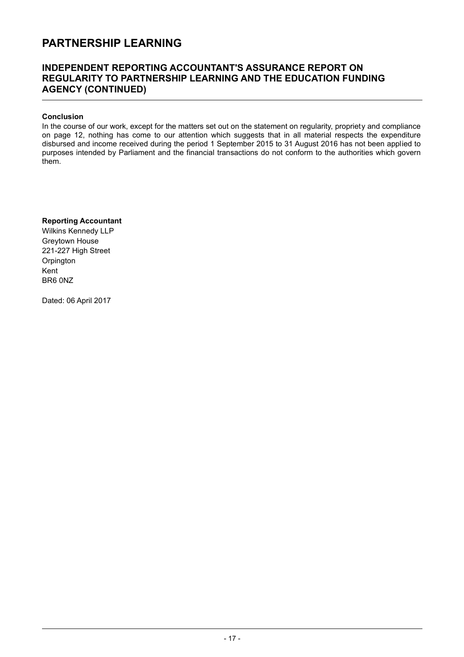### INDEPENDENT REPORTING ACCOUNTANT'S ASSURANCE REPORT ON REGULARITY TO PARTNERSHIP LEARNING AND THE EDUCATION FUNDING AGENCY (CONTINUED)

#### Conclusion

In the course of our work, except for the matters set out on the statement on regularity, propriety and compliance on page 12, nothing has come to our attention which suggests that in all material respects the expenditure disbursed and income received during the period 1 September 2015 to 31 August 2016 has not been applied to purposes intended by Parliament and the financial transactions do not conform to the authorities which govern them.

#### Reporting Accountant

Wilkins Kennedy LLP Greytown House 221-227 High Street **Orpington** Kent BR6 0NZ

Dated: 06 April 2017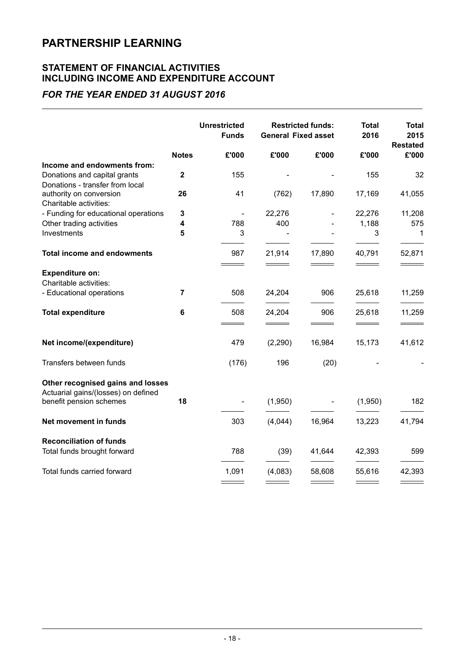### STATEMENT OF FINANCIAL ACTIVITIES INCLUDING INCOME AND EXPENDITURE ACCOUNT

### FOR THE YEAR ENDED 31 AUGUST 2016

|              | <b>Unrestricted</b><br><b>Funds</b> |         |                   | <b>Total</b><br>2016                                   | <b>Total</b><br>2015<br><b>Restated</b> |
|--------------|-------------------------------------|---------|-------------------|--------------------------------------------------------|-----------------------------------------|
| <b>Notes</b> | £'000                               | £'000   | £'000             | £'000                                                  | £'000                                   |
|              |                                     |         |                   |                                                        |                                         |
| $\mathbf 2$  | 155                                 |         |                   | 155                                                    | 32                                      |
| 26           | 41                                  | (762)   | 17,890            | 17,169                                                 | 41,055                                  |
|              | $\overline{\phantom{a}}$            |         |                   |                                                        | 11,208                                  |
| 4            | 788                                 | 400     |                   | 1,188                                                  | 575                                     |
| 5            | 3                                   |         |                   | 3                                                      | 1                                       |
|              | 987                                 | 21,914  | 17,890            | 40,791                                                 | 52,871                                  |
|              |                                     |         |                   |                                                        |                                         |
|              |                                     |         |                   |                                                        |                                         |
| 7            | 508                                 | 24,204  | 906               | 25,618                                                 | 11,259                                  |
| 6            | 508                                 | 24,204  | 906               | 25,618                                                 | 11,259                                  |
|              | 479                                 | (2,290) | 16,984            | 15,173                                                 | 41,612                                  |
|              | (176)                               | 196     | (20)              |                                                        |                                         |
|              |                                     |         |                   |                                                        |                                         |
|              |                                     |         |                   |                                                        | 182                                     |
|              | 303                                 | (4,044) | 16,964            | 13,223                                                 | 41,794                                  |
|              |                                     |         |                   |                                                        |                                         |
|              | 788                                 | (39)    | 41,644            | 42,393                                                 | 599                                     |
|              | 1,091                               | (4,083) | 58,608            | 55,616                                                 | 42,393                                  |
|              | 3<br>18                             |         | 22,276<br>(1,950) | <b>Restricted funds:</b><br><b>General Fixed asset</b> | 22,276<br>(1,950)                       |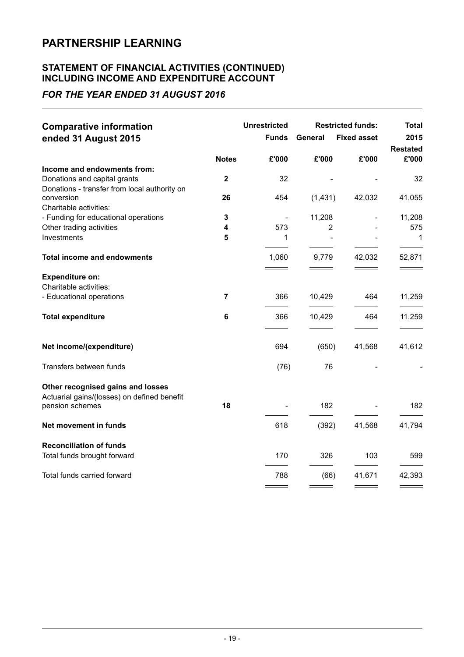### STATEMENT OF FINANCIAL ACTIVITIES (CONTINUED) INCLUDING INCOME AND EXPENDITURE ACCOUNT

### FOR THE YEAR ENDED 31 AUGUST 2016

| <b>Comparative information</b><br>ended 31 August 2015                           |                | <b>Unrestricted</b><br><b>Funds</b> | General        | <b>Restricted funds:</b><br><b>Fixed asset</b> | Total<br>2015<br><b>Restated</b>   |
|----------------------------------------------------------------------------------|----------------|-------------------------------------|----------------|------------------------------------------------|------------------------------------|
|                                                                                  | <b>Notes</b>   | £'000                               | £'000          | £'000                                          | £'000                              |
| Income and endowments from:                                                      |                |                                     |                |                                                |                                    |
| Donations and capital grants                                                     | $\mathbf{2}$   | 32                                  |                |                                                | 32                                 |
| Donations - transfer from local authority on                                     |                |                                     |                |                                                |                                    |
| conversion<br>Charitable activities:                                             | 26             | 454                                 | (1,431)        | 42,032                                         | 41,055                             |
| - Funding for educational operations                                             | 3              |                                     | 11,208         |                                                | 11,208                             |
| Other trading activities                                                         | 4              | 573                                 | $\overline{2}$ |                                                | 575                                |
| Investments                                                                      | 5              | 1                                   |                |                                                | 1                                  |
| <b>Total income and endowments</b>                                               |                | 1,060                               | 9,779          | 42,032                                         | 52,871                             |
| <b>Expenditure on:</b><br>Charitable activities:                                 |                |                                     |                |                                                |                                    |
| - Educational operations                                                         | $\overline{7}$ | 366                                 | 10,429         | 464                                            | 11,259                             |
| <b>Total expenditure</b>                                                         | 6              | 366<br>$\equiv$ $\equiv$            | 10,429<br>$ -$ | 464<br>$\equiv$ $\equiv$                       | 11,259<br>$\overline{\phantom{a}}$ |
| Net income/(expenditure)                                                         |                | 694                                 | (650)          | 41,568                                         | 41,612                             |
| Transfers between funds                                                          |                | (76)                                | 76             |                                                |                                    |
| Other recognised gains and losses<br>Actuarial gains/(losses) on defined benefit | 18             |                                     |                |                                                |                                    |
| pension schemes                                                                  |                |                                     | 182            |                                                | 182                                |
| Net movement in funds                                                            |                | 618                                 | (392)          | 41,568                                         | 41,794                             |
| <b>Reconciliation of funds</b><br>Total funds brought forward                    |                | 170                                 | 326            | 103                                            | 599                                |
| Total funds carried forward                                                      |                | 788                                 | (66)           | 41,671                                         | 42,393                             |
|                                                                                  |                |                                     |                |                                                |                                    |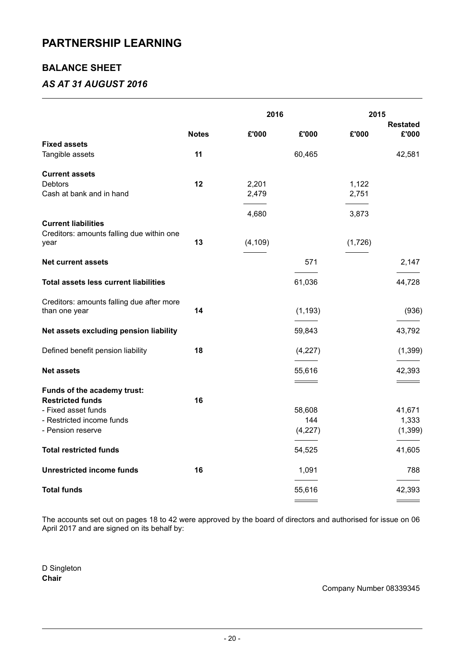### BALANCE SHEET

### AS AT 31 AUGUST 2016

|                                                        |              | 2016     |                          | 2015<br><b>Restated</b> |                   |  |
|--------------------------------------------------------|--------------|----------|--------------------------|-------------------------|-------------------|--|
|                                                        | <b>Notes</b> | £'000    | £'000                    | £'000                   | £'000             |  |
| <b>Fixed assets</b>                                    |              |          |                          |                         |                   |  |
| Tangible assets                                        | 11           |          | 60,465                   |                         | 42,581            |  |
| <b>Current assets</b>                                  |              |          |                          |                         |                   |  |
| Debtors                                                | 12           | 2,201    |                          | 1,122                   |                   |  |
| Cash at bank and in hand                               |              | 2,479    |                          | 2,751                   |                   |  |
|                                                        |              | 4,680    |                          | 3,873                   |                   |  |
| <b>Current liabilities</b>                             |              |          |                          |                         |                   |  |
| Creditors: amounts falling due within one              |              |          |                          |                         |                   |  |
| year                                                   | 13           | (4, 109) |                          | (1,726)                 |                   |  |
| <b>Net current assets</b>                              |              |          | 571                      |                         | 2,147             |  |
|                                                        |              |          |                          |                         |                   |  |
| Total assets less current liabilities                  |              |          | 61,036                   |                         | 44,728            |  |
| Creditors: amounts falling due after more              |              |          |                          |                         |                   |  |
| than one year                                          | 14           |          | (1, 193)                 |                         | (936)             |  |
| Net assets excluding pension liability                 |              |          | 59,843                   |                         | 43,792            |  |
| Defined benefit pension liability                      | 18           |          | (4,227)                  |                         | (1, 399)          |  |
| <b>Net assets</b>                                      |              |          | 55,616                   |                         | 42,393            |  |
|                                                        |              |          | $\overline{\phantom{a}}$ |                         | $\qquad \qquad =$ |  |
| Funds of the academy trust:<br><b>Restricted funds</b> | 16           |          |                          |                         |                   |  |
| - Fixed asset funds                                    |              |          | 58,608                   |                         | 41,671            |  |
| - Restricted income funds                              |              |          | 144                      |                         | 1,333             |  |
| - Pension reserve                                      |              |          | (4, 227)                 |                         | (1, 399)          |  |
|                                                        |              |          |                          |                         |                   |  |
| <b>Total restricted funds</b>                          |              |          | 54,525                   |                         | 41,605            |  |
| <b>Unrestricted income funds</b>                       | 16           |          | 1,091                    |                         | 788               |  |
| <b>Total funds</b>                                     |              |          | 55,616                   |                         | 42,393            |  |
|                                                        |              |          |                          |                         |                   |  |

The accounts set out on pages 18 to 42 were approved by the board of directors and authorised for issue on 06 April 2017 and are signed on its behalf by:

D Singleton **Chair** 

### Company Number 08339345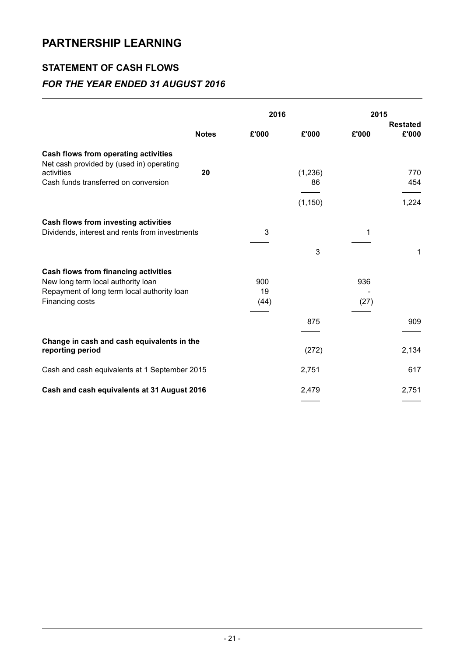### STATEMENT OF CASH FLOWS

### FOR THE YEAR ENDED 31 AUGUST 2016

|                                                                                  |              | 2016  |          | 2015<br><b>Restated</b> |       |
|----------------------------------------------------------------------------------|--------------|-------|----------|-------------------------|-------|
|                                                                                  | <b>Notes</b> | £'000 | £'000    | £'000                   | £'000 |
| Cash flows from operating activities<br>Net cash provided by (used in) operating |              |       |          |                         |       |
| activities                                                                       | 20           |       | (1, 236) |                         | 770   |
| Cash funds transferred on conversion                                             |              |       | 86       |                         | 454   |
|                                                                                  |              |       | (1, 150) |                         | 1,224 |
| Cash flows from investing activities                                             |              |       |          |                         |       |
| Dividends, interest and rents from investments                                   |              | 3     |          | 1                       |       |
|                                                                                  |              |       | 3        |                         | 1     |
| <b>Cash flows from financing activities</b>                                      |              |       |          |                         |       |
| New long term local authority loan                                               |              | 900   |          | 936                     |       |
| Repayment of long term local authority loan                                      |              | 19    |          |                         |       |
| Financing costs                                                                  |              | (44)  |          | (27)                    |       |
|                                                                                  |              |       | 875      |                         | 909   |
| Change in cash and cash equivalents in the<br>reporting period                   |              |       | (272)    |                         | 2,134 |
| Cash and cash equivalents at 1 September 2015                                    |              |       | 2,751    |                         | 617   |
|                                                                                  |              |       |          |                         |       |
| Cash and cash equivalents at 31 August 2016                                      |              |       | 2,479    |                         | 2,751 |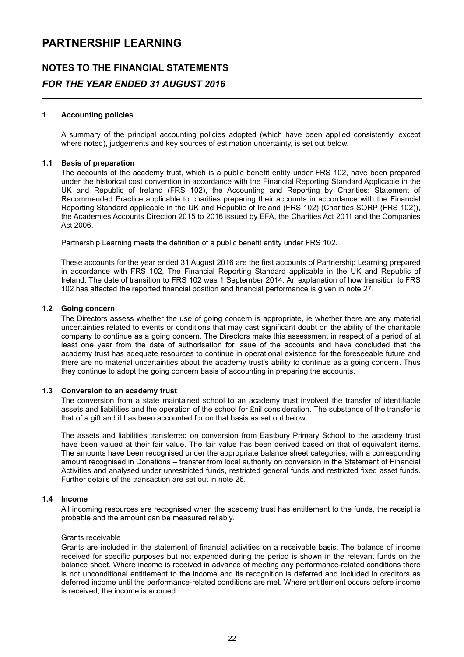### NOTES TO THE FINANCIAL STATEMENTS FOR THE YEAR ENDED 31 AUGUST 2016

#### 1 Accounting policies

A summary of the principal accounting policies adopted (which have been applied consistently, except where noted), judgements and key sources of estimation uncertainty, is set out below.

#### 1.1 Basis of preparation

The accounts of the academy trust, which is a public benefit entity under FRS 102, have been prepared under the historical cost convention in accordance with the Financial Reporting Standard Applicable in the UK and Republic of Ireland (FRS 102), the Accounting and Reporting by Charities: Statement of Recommended Practice applicable to charities preparing their accounts in accordance with the Financial Reporting Standard applicable in the UK and Republic of Ireland (FRS 102) (Charities SORP (FRS 102)), the Academies Accounts Direction 2015 to 2016 issued by EFA, the Charities Act 2011 and the Companies Act 2006.

Partnership Learning meets the definition of a public benefit entity under FRS 102.

These accounts for the year ended 31 August 2016 are the first accounts of Partnership Learning prepared in accordance with FRS 102, The Financial Reporting Standard applicable in the UK and Republic of Ireland. The date of transition to FRS 102 was 1 September 2014. An explanation of how transition to FRS 102 has affected the reported financial position and financial performance is given in note 27.

#### 1.2 Going concern

The Directors assess whether the use of going concern is appropriate, ie whether there are any material uncertainties related to events or conditions that may cast significant doubt on the ability of the charitable company to continue as a going concern. The Directors make this assessment in respect of a period of at least one year from the date of authorisation for issue of the accounts and have concluded that the academy trust has adequate resources to continue in operational existence for the foreseeable future and there are no material uncertainties about the academy trust's ability to continue as a going concern. Thus they continue to adopt the going concern basis of accounting in preparing the accounts.

#### 1.3 Conversion to an academy trust

The conversion from a state maintained school to an academy trust involved the transfer of identifiable assets and liabilities and the operation of the school for £nil consideration. The substance of the transfer is that of a gift and it has been accounted for on that basis as set out below.

The assets and liabilities transferred on conversion from Eastbury Primary School to the academy trust have been valued at their fair value. The fair value has been derived based on that of equivalent items. The amounts have been recognised under the appropriate balance sheet categories, with a corresponding amount recognised in Donations – transfer from local authority on conversion in the Statement of Financial Activities and analysed under unrestricted funds, restricted general funds and restricted fixed asset funds. Further details of the transaction are set out in note 26.

#### 1.4 Income

All incoming resources are recognised when the academy trust has entitlement to the funds, the receipt is probable and the amount can be measured reliably.

#### Grants receivable

Grants are included in the statement of financial activities on a receivable basis. The balance of income received for specific purposes but not expended during the period is shown in the relevant funds on the balance sheet. Where income is received in advance of meeting any performance-related conditions there is not unconditional entitlement to the income and its recognition is deferred and included in creditors as deferred income until the performance-related conditions are met. Where entitlement occurs before income is received, the income is accrued.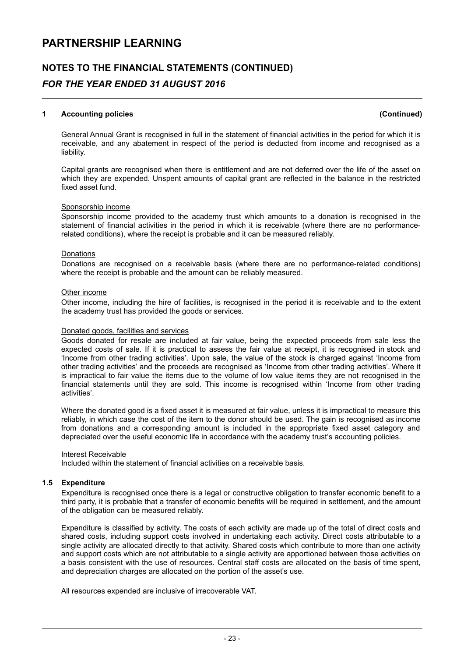### NOTES TO THE FINANCIAL STATEMENTS (CONTINUED)

### FOR THE YEAR ENDED 31 AUGUST 2016

#### 1 Accounting policies (Continued)

General Annual Grant is recognised in full in the statement of financial activities in the period for which it is receivable, and any abatement in respect of the period is deducted from income and recognised as a liability.

Capital grants are recognised when there is entitlement and are not deferred over the life of the asset on which they are expended. Unspent amounts of capital grant are reflected in the balance in the restricted fixed asset fund.

#### Sponsorship income

Sponsorship income provided to the academy trust which amounts to a donation is recognised in the statement of financial activities in the period in which it is receivable (where there are no performancerelated conditions), where the receipt is probable and it can be measured reliably.

#### Donations

Donations are recognised on a receivable basis (where there are no performance-related conditions) where the receipt is probable and the amount can be reliably measured.

#### Other income

Other income, including the hire of facilities, is recognised in the period it is receivable and to the extent the academy trust has provided the goods or services.

#### Donated goods, facilities and services

Goods donated for resale are included at fair value, being the expected proceeds from sale less the expected costs of sale. If it is practical to assess the fair value at receipt, it is recognised in stock and 'Income from other trading activities'. Upon sale, the value of the stock is charged against 'Income from other trading activities' and the proceeds are recognised as 'Income from other trading activities'. Where it is impractical to fair value the items due to the volume of low value items they are not recognised in the financial statements until they are sold. This income is recognised within 'Income from other trading activities'.

Where the donated good is a fixed asset it is measured at fair value, unless it is impractical to measure this reliably, in which case the cost of the item to the donor should be used. The gain is recognised as income from donations and a corresponding amount is included in the appropriate fixed asset category and depreciated over the useful economic life in accordance with the academy trust's accounting policies.

#### Interest Receivable

Included within the statement of financial activities on a receivable basis.

#### 1.5 Expenditure

Expenditure is recognised once there is a legal or constructive obligation to transfer economic benefit to a third party, it is probable that a transfer of economic benefits will be required in settlement, and the amount of the obligation can be measured reliably.

Expenditure is classified by activity. The costs of each activity are made up of the total of direct costs and shared costs, including support costs involved in undertaking each activity. Direct costs attributable to a single activity are allocated directly to that activity. Shared costs which contribute to more than one activity and support costs which are not attributable to a single activity are apportioned between those activities on a basis consistent with the use of resources. Central staff costs are allocated on the basis of time spent, and depreciation charges are allocated on the portion of the asset's use.

All resources expended are inclusive of irrecoverable VAT.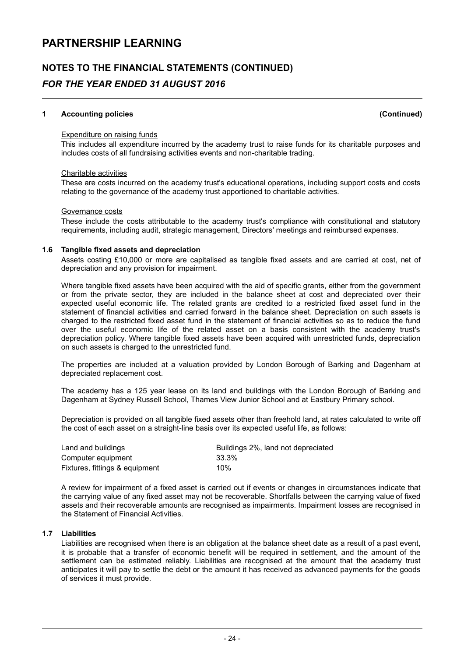### NOTES TO THE FINANCIAL STATEMENTS (CONTINUED)

### FOR THE YEAR ENDED 31 AUGUST 2016

#### 1 Accounting policies (Continued)

#### Expenditure on raising funds

This includes all expenditure incurred by the academy trust to raise funds for its charitable purposes and includes costs of all fundraising activities events and non-charitable trading.

#### Charitable activities

These are costs incurred on the academy trust's educational operations, including support costs and costs relating to the governance of the academy trust apportioned to charitable activities.

#### Governance costs

These include the costs attributable to the academy trust's compliance with constitutional and statutory requirements, including audit, strategic management, Directors' meetings and reimbursed expenses.

#### 1.6 Tangible fixed assets and depreciation

Assets costing £10,000 or more are capitalised as tangible fixed assets and are carried at cost, net of depreciation and any provision for impairment.

Where tangible fixed assets have been acquired with the aid of specific grants, either from the government or from the private sector, they are included in the balance sheet at cost and depreciated over their expected useful economic life. The related grants are credited to a restricted fixed asset fund in the statement of financial activities and carried forward in the balance sheet. Depreciation on such assets is charged to the restricted fixed asset fund in the statement of financial activities so as to reduce the fund over the useful economic life of the related asset on a basis consistent with the academy trust's depreciation policy. Where tangible fixed assets have been acquired with unrestricted funds, depreciation on such assets is charged to the unrestricted fund.

The properties are included at a valuation provided by London Borough of Barking and Dagenham at depreciated replacement cost.

The academy has a 125 year lease on its land and buildings with the London Borough of Barking and Dagenham at Sydney Russell School, Thames View Junior School and at Eastbury Primary school.

Depreciation is provided on all tangible fixed assets other than freehold land, at rates calculated to write off the cost of each asset on a straight-line basis over its expected useful life, as follows:

| Land and buildings             | Buildings 2%, land not depreciated |
|--------------------------------|------------------------------------|
| Computer equipment             | 33.3%                              |
| Fixtures, fittings & equipment | 10%                                |

A review for impairment of a fixed asset is carried out if events or changes in circumstances indicate that the carrying value of any fixed asset may not be recoverable. Shortfalls between the carrying value of fixed assets and their recoverable amounts are recognised as impairments. Impairment losses are recognised in the Statement of Financial Activities.

#### 1.7 Liabilities

Liabilities are recognised when there is an obligation at the balance sheet date as a result of a past event, it is probable that a transfer of economic benefit will be required in settlement, and the amount of the settlement can be estimated reliably. Liabilities are recognised at the amount that the academy trust anticipates it will pay to settle the debt or the amount it has received as advanced payments for the goods of services it must provide.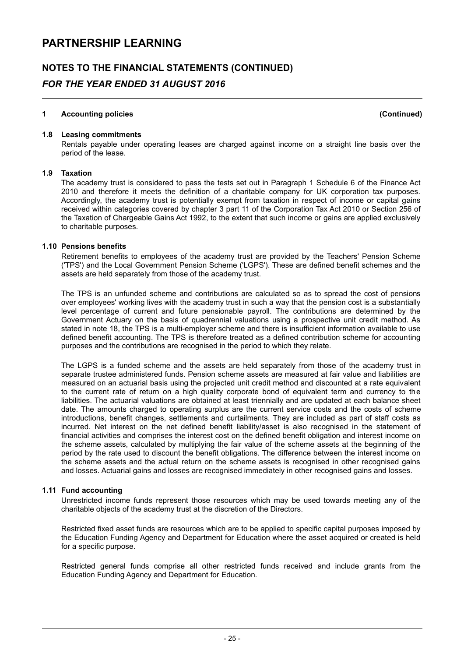### NOTES TO THE FINANCIAL STATEMENTS (CONTINUED)

### FOR THE YEAR ENDED 31 AUGUST 2016

#### 1 Accounting policies (Continued)

#### 1.8 Leasing commitments

Rentals payable under operating leases are charged against income on a straight line basis over the period of the lease.

#### 1.9 Taxation

The academy trust is considered to pass the tests set out in Paragraph 1 Schedule 6 of the Finance Act 2010 and therefore it meets the definition of a charitable company for UK corporation tax purposes. Accordingly, the academy trust is potentially exempt from taxation in respect of income or capital gains received within categories covered by chapter 3 part 11 of the Corporation Tax Act 2010 or Section 256 of the Taxation of Chargeable Gains Act 1992, to the extent that such income or gains are applied exclusively to charitable purposes.

#### 1.10 Pensions benefits

Retirement benefits to employees of the academy trust are provided by the Teachers' Pension Scheme ('TPS') and the Local Government Pension Scheme ('LGPS'). These are defined benefit schemes and the assets are held separately from those of the academy trust.

The TPS is an unfunded scheme and contributions are calculated so as to spread the cost of pensions over employees' working lives with the academy trust in such a way that the pension cost is a substantially level percentage of current and future pensionable payroll. The contributions are determined by the Government Actuary on the basis of quadrennial valuations using a prospective unit credit method. As stated in note 18, the TPS is a multi-employer scheme and there is insufficient information available to use defined benefit accounting. The TPS is therefore treated as a defined contribution scheme for accounting purposes and the contributions are recognised in the period to which they relate.

The LGPS is a funded scheme and the assets are held separately from those of the academy trust in separate trustee administered funds. Pension scheme assets are measured at fair value and liabilities are measured on an actuarial basis using the projected unit credit method and discounted at a rate equivalent to the current rate of return on a high quality corporate bond of equivalent term and currency to the liabilities. The actuarial valuations are obtained at least triennially and are updated at each balance sheet date. The amounts charged to operating surplus are the current service costs and the costs of scheme introductions, benefit changes, settlements and curtailments. They are included as part of staff costs as incurred. Net interest on the net defined benefit liability/asset is also recognised in the statement of financial activities and comprises the interest cost on the defined benefit obligation and interest income on the scheme assets, calculated by multiplying the fair value of the scheme assets at the beginning of the period by the rate used to discount the benefit obligations. The difference between the interest income on the scheme assets and the actual return on the scheme assets is recognised in other recognised gains and losses. Actuarial gains and losses are recognised immediately in other recognised gains and losses.

#### 1.11 Fund accounting

Unrestricted income funds represent those resources which may be used towards meeting any of the charitable objects of the academy trust at the discretion of the Directors.

Restricted fixed asset funds are resources which are to be applied to specific capital purposes imposed by the Education Funding Agency and Department for Education where the asset acquired or created is held for a specific purpose.

Restricted general funds comprise all other restricted funds received and include grants from the Education Funding Agency and Department for Education.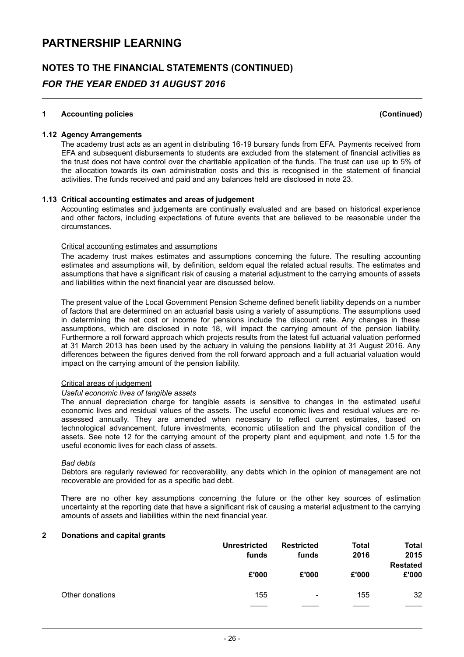### NOTES TO THE FINANCIAL STATEMENTS (CONTINUED)

### FOR THE YEAR ENDED 31 AUGUST 2016

#### 1 Accounting policies (Continued)

#### 1.12 Agency Arrangements

The academy trust acts as an agent in distributing 16-19 bursary funds from EFA. Payments received from EFA and subsequent disbursements to students are excluded from the statement of financial activities as the trust does not have control over the charitable application of the funds. The trust can use up to 5% of the allocation towards its own administration costs and this is recognised in the statement of financial activities. The funds received and paid and any balances held are disclosed in note 23.

#### 1.13 Critical accounting estimates and areas of judgement

Accounting estimates and judgements are continually evaluated and are based on historical experience and other factors, including expectations of future events that are believed to be reasonable under the circumstances.

#### Critical accounting estimates and assumptions

The academy trust makes estimates and assumptions concerning the future. The resulting accounting estimates and assumptions will, by definition, seldom equal the related actual results. The estimates and assumptions that have a significant risk of causing a material adjustment to the carrying amounts of assets and liabilities within the next financial year are discussed below.

The present value of the Local Government Pension Scheme defined benefit liability depends on a number of factors that are determined on an actuarial basis using a variety of assumptions. The assumptions used in determining the net cost or income for pensions include the discount rate. Any changes in these assumptions, which are disclosed in note 18, will impact the carrying amount of the pension liability. Furthermore a roll forward approach which projects results from the latest full actuarial valuation performed at 31 March 2013 has been used by the actuary in valuing the pensions liability at 31 August 2016. Any differences between the figures derived from the roll forward approach and a full actuarial valuation would impact on the carrying amount of the pension liability.

#### Critical areas of judgement

#### Useful economic lives of tangible assets

The annual depreciation charge for tangible assets is sensitive to changes in the estimated useful economic lives and residual values of the assets. The useful economic lives and residual values are reassessed annually. They are amended when necessary to reflect current estimates, based on technological advancement, future investments, economic utilisation and the physical condition of the assets. See note 12 for the carrying amount of the property plant and equipment, and note 1.5 for the useful economic lives for each class of assets.

#### Bad debts

Debtors are regularly reviewed for recoverability, any debts which in the opinion of management are not recoverable are provided for as a specific bad debt.

There are no other key assumptions concerning the future or the other key sources of estimation uncertainty at the reporting date that have a significant risk of causing a material adjustment to the carrying amounts of assets and liabilities within the next financial year.

#### 2 Donations and capital grants

|                 | <b>Unrestricted</b><br>funds | <b>Restricted</b><br>funds | <b>Total</b><br>2016 | Total<br>2015<br><b>Restated</b> |
|-----------------|------------------------------|----------------------------|----------------------|----------------------------------|
|                 | £'000                        | £'000                      | £'000                | £'000                            |
| Other donations | 155                          | $\overline{\phantom{a}}$   | 155                  | 32                               |
|                 |                              |                            |                      |                                  |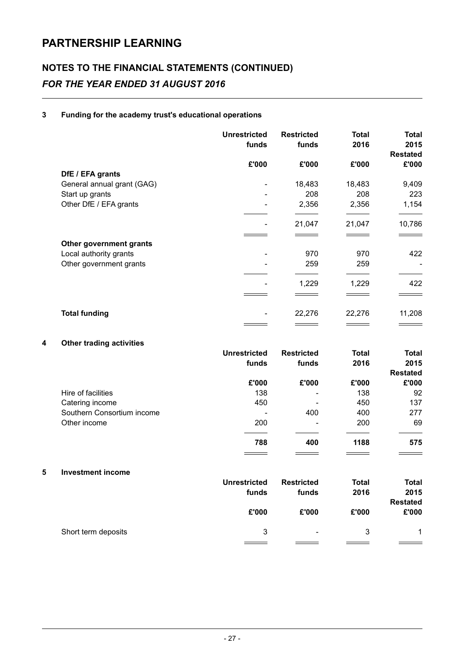### NOTES TO THE FINANCIAL STATEMENTS (CONTINUED) FOR THE YEAR ENDED 31 AUGUST 2016

### 3 Funding for the academy trust's educational operations

|                            | <b>Unrestricted</b><br>funds | <b>Restricted</b><br>funds | <b>Total</b><br>2016 | Total<br>2015<br><b>Restated</b> |
|----------------------------|------------------------------|----------------------------|----------------------|----------------------------------|
|                            | £'000                        | £'000                      | £'000                | £'000                            |
| DfE / EFA grants           |                              |                            |                      |                                  |
| General annual grant (GAG) |                              | 18,483                     | 18,483               | 9,409                            |
| Start up grants            | $\overline{\phantom{a}}$     | 208                        | 208                  | 223                              |
| Other DfE / EFA grants     |                              | 2,356                      | 2,356                | 1,154                            |
|                            |                              | 21,047                     | 21,047               | 10,786                           |
|                            |                              |                            |                      |                                  |
| Other government grants    |                              |                            |                      |                                  |
| Local authority grants     |                              | 970                        | 970                  | 422                              |
| Other government grants    |                              | 259                        | 259                  |                                  |
|                            |                              | 1,229                      | 1,229                | 422                              |
|                            |                              |                            |                      |                                  |
| <b>Total funding</b>       |                              | 22,276                     | 22,276               | 11,208                           |
|                            |                              |                            |                      |                                  |

### 4 Other trading activities

|                            | <b>Unrestricted</b> | <b>Restricted</b>        | <b>Total</b> | <b>Total</b>    |
|----------------------------|---------------------|--------------------------|--------------|-----------------|
|                            | funds               | funds                    | 2016         | 2015            |
|                            |                     |                          |              | <b>Restated</b> |
|                            | £'000               | £'000                    | £'000        | £'000           |
| Hire of facilities         | 138                 | $\overline{\phantom{0}}$ | 138          | 92              |
| Catering income            | 450                 | -                        | 450          | 137             |
| Southern Consortium income |                     | 400                      | 400          | 277             |
| Other income               | 200                 |                          | 200          | 69              |
|                            | 788                 | 400                      | 1188         | 575             |
|                            |                     |                          |              |                 |

#### 5 Investment income

|                     | <b>Unrestricted</b><br>funds | <b>Restricted</b><br>funds | <b>Total</b><br>2016 | <b>Total</b><br>2015<br><b>Restated</b> |
|---------------------|------------------------------|----------------------------|----------------------|-----------------------------------------|
|                     | £'000                        | £'000                      | £'000                | £'000                                   |
| Short term deposits | 3                            | -                          | 3                    | 1                                       |
|                     |                              |                            |                      |                                         |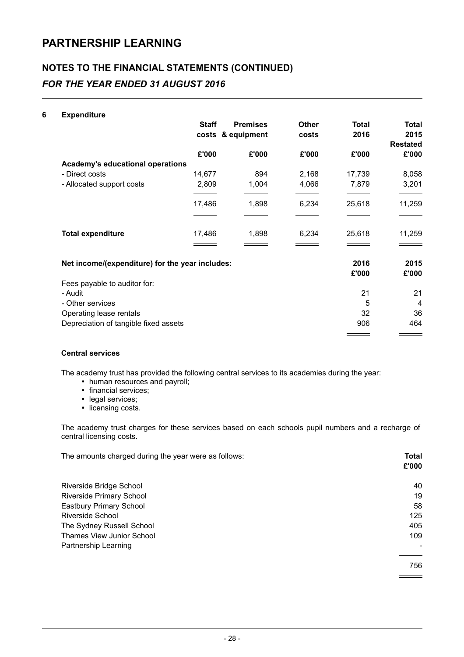### NOTES TO THE FINANCIAL STATEMENTS (CONTINUED) FOR THE YEAR ENDED 31 AUGUST 2016

#### 6 Expenditure

|                                                 | <b>Staff</b> | <b>Premises</b><br>costs & equipment | <b>Other</b><br>costs | <b>Total</b><br>2016 | <b>Total</b><br>2015<br><b>Restated</b> |
|-------------------------------------------------|--------------|--------------------------------------|-----------------------|----------------------|-----------------------------------------|
|                                                 | £'000        | £'000                                | £'000                 | £'000                | £'000                                   |
| Academy's educational operations                |              |                                      |                       |                      |                                         |
| - Direct costs                                  | 14,677       | 894                                  | 2,168                 | 17,739               | 8,058                                   |
| - Allocated support costs                       | 2,809        | 1,004                                | 4,066                 | 7,879                | 3,201                                   |
|                                                 | 17,486       | 1,898                                | 6,234                 | 25,618               | 11,259                                  |
|                                                 |              |                                      |                       |                      |                                         |
| <b>Total expenditure</b>                        | 17,486       | 1,898                                | 6,234                 | 25,618               | 11,259                                  |
|                                                 |              |                                      |                       |                      |                                         |
| Net income/(expenditure) for the year includes: |              |                                      |                       | 2016                 | 2015                                    |
|                                                 |              |                                      |                       | £'000                | £'000                                   |
| Fees payable to auditor for:                    |              |                                      |                       |                      |                                         |
| - Audit                                         |              |                                      |                       | 21                   | 21                                      |
| - Other services                                |              |                                      |                       | 5                    | $\overline{4}$                          |
| Operating lease rentals                         |              |                                      |                       | 32                   | 36                                      |
| Depreciation of tangible fixed assets           |              |                                      |                       | 906                  | 464                                     |
|                                                 |              |                                      |                       |                      |                                         |

#### Central services

The academy trust has provided the following central services to its academies during the year:

- human resources and payroll;
- financial services;
- legal services;
- licensing costs.

The academy trust charges for these services based on each schools pupil numbers and a recharge of central licensing costs.

| The amounts charged during the year were as follows: | Total<br>£'000 |
|------------------------------------------------------|----------------|
|                                                      |                |
| Riverside Bridge School                              | 40             |
| <b>Riverside Primary School</b>                      | 19             |
| Eastbury Primary School                              | 58             |
| <b>Riverside School</b>                              | 125            |
| The Sydney Russell School                            | 405            |
| <b>Thames View Junior School</b>                     | 109            |
| Partnership Learning                                 |                |
|                                                      |                |
|                                                      | 756            |
|                                                      |                |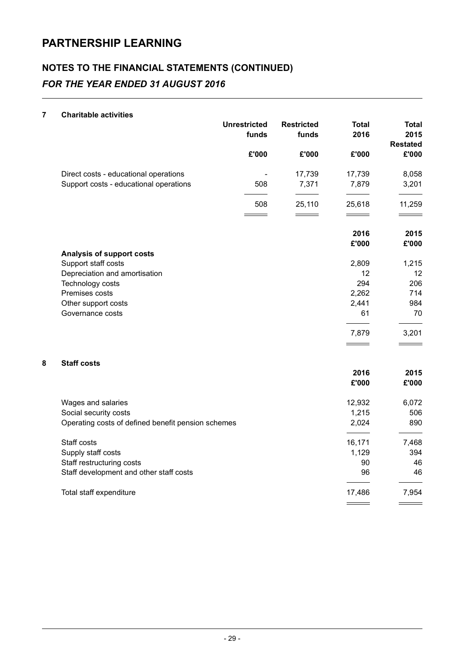### NOTES TO THE FINANCIAL STATEMENTS (CONTINUED) FOR THE YEAR ENDED 31 AUGUST 2016

#### 7 Charitable activities

|   |                                                         | <b>Unrestricted</b><br>funds | <b>Restricted</b><br>funds | <b>Total</b><br>2016 | <b>Total</b><br>2015<br><b>Restated</b> |
|---|---------------------------------------------------------|------------------------------|----------------------------|----------------------|-----------------------------------------|
|   |                                                         | £'000                        | £'000                      | £'000                | £'000                                   |
|   | Direct costs - educational operations                   |                              | 17,739                     | 17,739               | 8,058                                   |
|   | Support costs - educational operations                  | 508                          | 7,371                      | 7,879                | 3,201                                   |
|   |                                                         | 508                          | 25,110                     | 25,618               | 11,259                                  |
|   |                                                         |                              |                            | 2016                 | 2015                                    |
|   |                                                         |                              |                            | £'000                | £'000                                   |
|   | <b>Analysis of support costs</b><br>Support staff costs |                              |                            | 2,809                | 1,215                                   |
|   | Depreciation and amortisation                           |                              |                            | 12                   | 12                                      |
|   | Technology costs                                        |                              |                            | 294                  | 206                                     |
|   | Premises costs                                          |                              |                            | 2,262                | 714                                     |
|   | Other support costs                                     |                              |                            | 2,441                | 984                                     |
|   | Governance costs                                        |                              |                            | 61                   | 70                                      |
|   |                                                         |                              |                            | 7,879                | 3,201                                   |
| 8 | <b>Staff costs</b>                                      |                              |                            |                      |                                         |
|   |                                                         |                              |                            | 2016<br>£'000        | 2015<br>£'000                           |
|   | Wages and salaries                                      |                              |                            | 12,932               | 6,072                                   |
|   | Social security costs                                   |                              |                            | 1,215                | 506                                     |
|   | Operating costs of defined benefit pension schemes      |                              |                            | 2,024                | 890                                     |
|   | Staff costs                                             |                              |                            | 16,171               | 7,468                                   |
|   | Supply staff costs                                      |                              |                            | 1,129                | 394                                     |
|   | Staff restructuring costs                               |                              |                            | 90                   | 46                                      |
|   | Staff development and other staff costs                 |                              |                            | 96                   | 46                                      |
|   | Total staff expenditure                                 |                              |                            | 17,486               | 7,954                                   |

 $\overline{\phantom{a}}$ 

 $\frac{1}{\sqrt{1-\frac{1}{2}}\left(1-\frac{1}{2}\right)}\left(\frac{1}{2}-\frac{1}{2}\right)$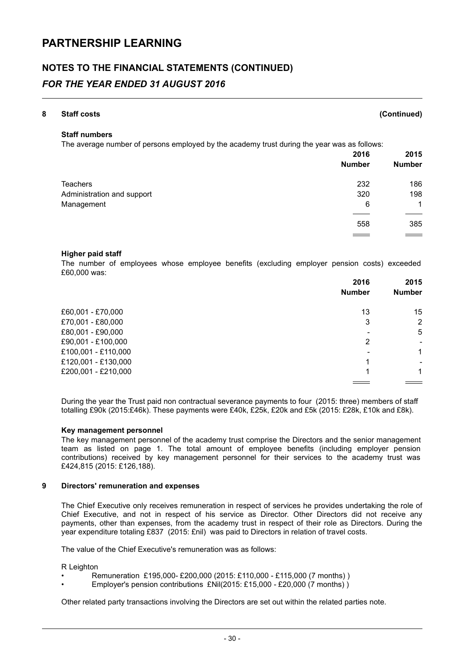### NOTES TO THE FINANCIAL STATEMENTS (CONTINUED)

### FOR THE YEAR ENDED 31 AUGUST 2016

| 8 | <b>Staff costs</b>                                                                          |                             | (Continued)   |
|---|---------------------------------------------------------------------------------------------|-----------------------------|---------------|
|   | <b>Staff numbers</b>                                                                        |                             |               |
|   | The average number of persons employed by the academy trust during the year was as follows: |                             |               |
|   |                                                                                             | 2016                        | 2015          |
|   |                                                                                             | <b>Number</b>               | <b>Number</b> |
|   | Teachers                                                                                    | 232                         | 186           |
|   | Administration and support                                                                  | 320                         | 198           |
|   | Management                                                                                  | 6                           | 1             |
|   |                                                                                             |                             |               |
|   |                                                                                             | 558                         | 385           |
|   |                                                                                             | and the control of the con- |               |

#### Higher paid staff

The number of employees whose employee benefits (excluding employer pension costs) exceeded £60,000 was:

| 2016                     | 2015                          |
|--------------------------|-------------------------------|
| <b>Number</b>            | <b>Number</b>                 |
| £60,001 - £70,000<br>13  | 15                            |
| £70,001 - £80,000<br>3   | 2                             |
| £80,001 - £90,000        | 5<br>$\overline{\phantom{0}}$ |
| £90,001 - £100,000<br>2  |                               |
| £100,001 - £110,000      | 1                             |
| £120,001 - £130,000<br>1 |                               |
| £200,001 - £210,000      | 1                             |

During the year the Trust paid non contractual severance payments to four (2015: three) members of staff totalling £90k (2015:£46k). These payments were £40k, £25k, £20k and £5k (2015: £28k, £10k and £8k).

#### Key management personnel

The key management personnel of the academy trust comprise the Directors and the senior management team as listed on page 1. The total amount of employee benefits (including employer pension contributions) received by key management personnel for their services to the academy trust was £424,815 (2015: £126,188).

#### 9 Directors' remuneration and expenses

The Chief Executive only receives remuneration in respect of services he provides undertaking the role of Chief Executive, and not in respect of his service as Director. Other Directors did not receive any payments, other than expenses, from the academy trust in respect of their role as Directors. During the year expenditure totaling £837 (2015: £nil) was paid to Directors in relation of travel costs.

The value of the Chief Executive's remuneration was as follows:

R Leighton

- Remuneration £195,000- £200,000 (2015: £110,000 £115,000 (7 months) )
- Employer's pension contributions £Nil(2015: £15,000 £20,000 (7 months) )

Other related party transactions involving the Directors are set out within the related parties note.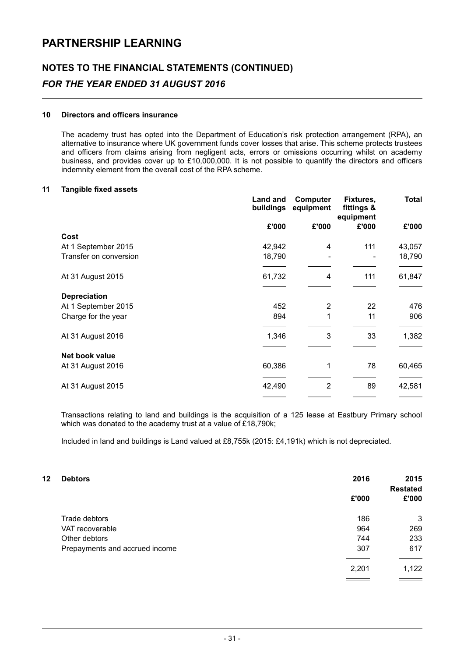### NOTES TO THE FINANCIAL STATEMENTS (CONTINUED) FOR THE YEAR ENDED 31 AUGUST 2016

#### 10 Directors and officers insurance

The academy trust has opted into the Department of Education's risk protection arrangement (RPA), an alternative to insurance where UK government funds cover losses that arise. This scheme protects trustees and officers from claims arising from negligent acts, errors or omissions occurring whilst on academy business, and provides cover up to £10,000,000. It is not possible to quantify the directors and officers indemnity element from the overall cost of the RPA scheme.

#### 11 Tangible fixed assets

|                        | Land and<br>buildings | <b>Computer</b><br>equipment | Fixtures,<br>fittings &<br>equipment | Total  |
|------------------------|-----------------------|------------------------------|--------------------------------------|--------|
|                        | £'000                 | £'000                        | £'000                                | £'000  |
| Cost                   |                       |                              |                                      |        |
| At 1 September 2015    | 42,942                | 4                            | 111                                  | 43,057 |
| Transfer on conversion | 18,790                |                              |                                      | 18,790 |
| At 31 August 2015      | 61,732                | 4                            | 111                                  | 61,847 |
| <b>Depreciation</b>    |                       |                              |                                      |        |
| At 1 September 2015    | 452                   | 2                            | 22                                   | 476    |
| Charge for the year    | 894                   | 1                            | 11                                   | 906    |
| At 31 August 2016      | 1,346                 | 3                            | 33                                   | 1,382  |
| Net book value         |                       |                              |                                      |        |
| At 31 August 2016      | 60,386                | 1                            | 78                                   | 60,465 |
| At 31 August 2015      | 42,490                | $\overline{2}$               | 89                                   | 42,581 |
|                        |                       |                              |                                      |        |

Transactions relating to land and buildings is the acquisition of a 125 lease at Eastbury Primary school which was donated to the academy trust at a value of  $\angle$ 18,790k;

Included in land and buildings is Land valued at £8,755k (2015: £4,191k) which is not depreciated.

| 12 | <b>Debtors</b>                 | 2016  | 2015<br><b>Restated</b> |
|----|--------------------------------|-------|-------------------------|
|    |                                | £'000 | £'000                   |
|    | Trade debtors                  | 186   | 3                       |
|    | VAT recoverable                | 964   | 269                     |
|    | Other debtors                  | 744   | 233                     |
|    | Prepayments and accrued income | 307   | 617                     |
|    |                                | 2,201 | 1,122                   |
|    |                                |       |                         |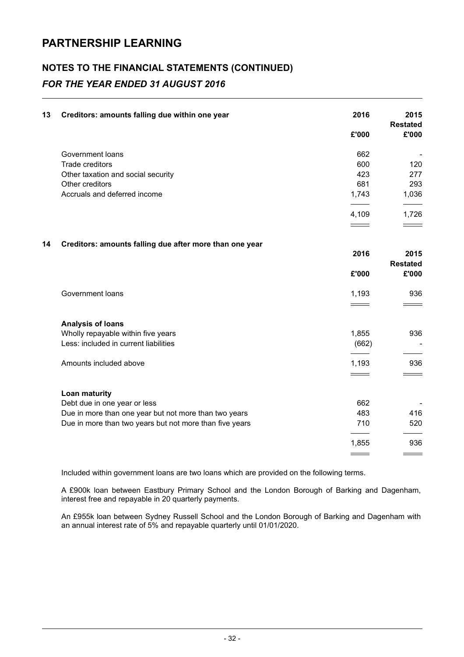### NOTES TO THE FINANCIAL STATEMENTS (CONTINUED) FOR THE YEAR ENDED 31 AUGUST 2016

| 13 | Creditors: amounts falling due within one year          | 2016              | 2015                       |
|----|---------------------------------------------------------|-------------------|----------------------------|
|    |                                                         | £'000             | <b>Restated</b><br>£'000   |
|    | Government loans                                        | 662               |                            |
|    | Trade creditors                                         | 600               | 120                        |
|    | Other taxation and social security                      | 423               | 277                        |
|    | Other creditors                                         | 681               | 293                        |
|    | Accruals and deferred income                            | 1,743             | 1,036                      |
|    |                                                         | 4,109             | 1,726                      |
|    |                                                         | $\qquad \qquad =$ |                            |
| 14 | Creditors: amounts falling due after more than one year |                   |                            |
|    |                                                         | 2016              | 2015                       |
|    |                                                         |                   | <b>Restated</b>            |
|    |                                                         | £'000             | £'000                      |
|    | Government loans                                        | 1,193             | 936                        |
|    |                                                         |                   |                            |
|    | <b>Analysis of loans</b>                                |                   |                            |
|    | Wholly repayable within five years                      | 1,855             | 936                        |
|    | Less: included in current liabilities                   | (662)             |                            |
|    | Amounts included above                                  | 1,193             | 936                        |
|    |                                                         | $\equiv$          | $\equiv$ $\equiv$ $\equiv$ |
|    | <b>Loan maturity</b>                                    |                   |                            |
|    | Debt due in one year or less                            | 662               |                            |
|    | Due in more than one year but not more than two years   | 483               | 416                        |
|    | Due in more than two years but not more than five years | 710               | 520                        |
|    |                                                         | 1,855             | 936                        |
|    |                                                         |                   |                            |

Included within government loans are two loans which are provided on the following terms.

A £900k loan between Eastbury Primary School and the London Borough of Barking and Dagenham, interest free and repayable in 20 quarterly payments.

An £955k loan between Sydney Russell School and the London Borough of Barking and Dagenham with an annual interest rate of 5% and repayable quarterly until 01/01/2020.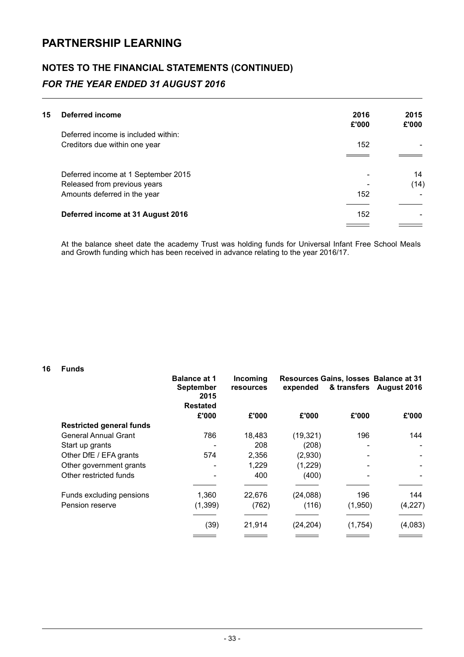## NOTES TO THE FINANCIAL STATEMENTS (CONTINUED)

### FOR THE YEAR ENDED 31 AUGUST 2016

| 15 | Deferred income                     | 2016<br>£'000 | 2015<br>£'000 |
|----|-------------------------------------|---------------|---------------|
|    | Deferred income is included within: |               |               |
|    | Creditors due within one year       | 152           |               |
|    |                                     |               |               |
|    | Deferred income at 1 September 2015 |               | 14            |
|    | Released from previous years        |               | (14)          |
|    | Amounts deferred in the year        | 152           |               |
|    | Deferred income at 31 August 2016   | 152           |               |
|    |                                     |               |               |

At the balance sheet date the academy Trust was holding funds for Universal Infant Free School Meals and Growth funding which has been received in advance relating to the year 2016/17.

#### 16 Funds

|                                 | <b>Balance at 1</b><br><b>September</b><br>2015<br><b>Restated</b> | Incoming<br>resources | expended  |         | Resources Gains, losses Balance at 31<br>& transfers August 2016 |
|---------------------------------|--------------------------------------------------------------------|-----------------------|-----------|---------|------------------------------------------------------------------|
|                                 | £'000                                                              | £'000                 | £'000     | £'000   | £'000                                                            |
| <b>Restricted general funds</b> |                                                                    |                       |           |         |                                                                  |
| <b>General Annual Grant</b>     | 786                                                                | 18,483                | (19, 321) | 196     | 144                                                              |
| Start up grants                 |                                                                    | 208                   | (208)     |         |                                                                  |
| Other DfE / EFA grants          | 574                                                                | 2,356                 | (2,930)   |         |                                                                  |
| Other government grants         |                                                                    | 1,229                 | (1,229)   |         |                                                                  |
| Other restricted funds          |                                                                    | 400                   | (400)     |         |                                                                  |
|                                 |                                                                    |                       |           |         |                                                                  |
| Funds excluding pensions        | 1,360                                                              | 22,676                | (24, 088) | 196     | 144                                                              |
| Pension reserve                 | (1, 399)                                                           | (762)                 | (116)     | (1,950) | (4,227)                                                          |
|                                 | (39)                                                               | 21,914                | (24, 204) | (1,754) | (4,083)                                                          |
|                                 |                                                                    |                       |           |         |                                                                  |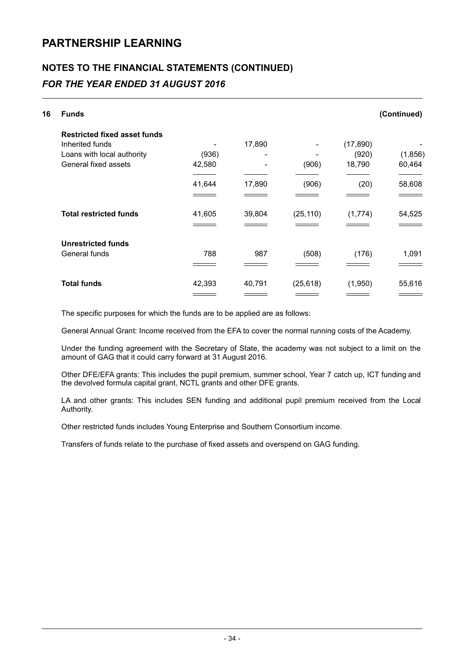### NOTES TO THE FINANCIAL STATEMENTS (CONTINUED)

### FOR THE YEAR ENDED 31 AUGUST 2016

| 16 | <b>Funds</b>                        |        |        |           |           | (Continued) |
|----|-------------------------------------|--------|--------|-----------|-----------|-------------|
|    | <b>Restricted fixed asset funds</b> |        |        |           |           |             |
|    | Inherited funds                     |        | 17,890 |           | (17, 890) |             |
|    | Loans with local authority          | (936)  |        |           | (920)     | (1,856)     |
|    | General fixed assets                | 42,580 |        | (906)     | 18,790    | 60,464      |
|    |                                     | 41,644 | 17,890 | (906)     | (20)      | 58,608      |
|    |                                     |        |        |           |           |             |
|    | <b>Total restricted funds</b>       | 41,605 | 39,804 | (25, 110) | (1,774)   | 54,525      |
|    |                                     |        |        |           |           |             |
|    | <b>Unrestricted funds</b>           |        |        |           |           |             |
|    | General funds                       | 788    | 987    | (508)     | (176)     | 1,091       |
|    |                                     |        |        |           |           |             |
|    | <b>Total funds</b>                  | 42,393 | 40,791 | (25, 618) | (1,950)   | 55,616      |
|    |                                     |        |        |           |           |             |

The specific purposes for which the funds are to be applied are as follows:

General Annual Grant: Income received from the EFA to cover the normal running costs of the Academy.

Under the funding agreement with the Secretary of State, the academy was not subject to a limit on the amount of GAG that it could carry forward at 31 August 2016.

Other DFE/EFA grants: This includes the pupil premium, summer school, Year 7 catch up, ICT funding and the devolved formula capital grant, NCTL grants and other DFE grants.

LA and other grants: This includes SEN funding and additional pupil premium received from the Local Authority.

Other restricted funds includes Young Enterprise and Southern Consortium income.

Transfers of funds relate to the purchase of fixed assets and overspend on GAG funding.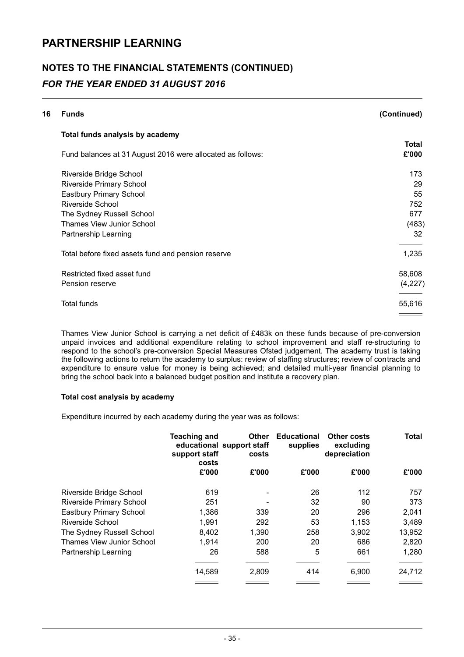### NOTES TO THE FINANCIAL STATEMENTS (CONTINUED) FOR THE YEAR ENDED 31 AUGUST 2016

| 16 | <b>Funds</b>                                               | (Continued)  |
|----|------------------------------------------------------------|--------------|
|    | Total funds analysis by academy                            |              |
|    |                                                            | <b>Total</b> |
|    | Fund balances at 31 August 2016 were allocated as follows: | £'000        |
|    | Riverside Bridge School                                    | 173          |
|    | <b>Riverside Primary School</b>                            | 29           |
|    | Eastbury Primary School                                    | 55           |
|    | Riverside School                                           | 752          |
|    | The Sydney Russell School                                  | 677          |
|    | Thames View Junior School                                  | (483)        |
|    | Partnership Learning                                       | 32           |
|    | Total before fixed assets fund and pension reserve         | 1,235        |
|    | Restricted fixed asset fund                                | 58,608       |
|    | Pension reserve                                            | (4,227)      |
|    | <b>Total funds</b>                                         | 55,616       |
|    |                                                            |              |

Thames View Junior School is carrying a net deficit of £483k on these funds because of pre-conversion unpaid invoices and additional expenditure relating to school improvement and staff re-structuring to respond to the school's pre-conversion Special Measures Ofsted judgement. The academy trust is taking the following actions to return the academy to surplus: review of staffing structures; review of contracts and expenditure to ensure value for money is being achieved; and detailed multi-year financial planning to bring the school back into a balanced budget position and institute a recovery plan.

#### Total cost analysis by academy

Expenditure incurred by each academy during the year was as follows:

|                                 | <b>Teaching and</b><br>support staff<br>costs | <b>Other</b><br>educational support staff<br>costs | <b>Educational</b><br>supplies | Other costs<br>excluding<br>depreciation | <b>Total</b> |
|---------------------------------|-----------------------------------------------|----------------------------------------------------|--------------------------------|------------------------------------------|--------------|
|                                 | £'000                                         | £'000                                              | £'000                          | £'000                                    | £'000        |
| Riverside Bridge School         | 619                                           |                                                    | 26                             | 112                                      | 757          |
| <b>Riverside Primary School</b> | 251                                           | $\overline{\phantom{0}}$                           | 32                             | 90                                       | 373          |
| Eastbury Primary School         | 1,386                                         | 339                                                | 20                             | 296                                      | 2,041        |
| Riverside School                | 1,991                                         | 292                                                | 53                             | 1,153                                    | 3,489        |
| The Sydney Russell School       | 8.402                                         | 1,390                                              | 258                            | 3,902                                    | 13,952       |
| Thames View Junior School       | 1,914                                         | 200                                                | 20                             | 686                                      | 2,820        |
| Partnership Learning            | 26                                            | 588                                                | 5                              | 661                                      | 1,280        |
|                                 | 14,589                                        | 2,809                                              | 414                            | 6,900                                    | 24,712       |
|                                 |                                               |                                                    |                                |                                          |              |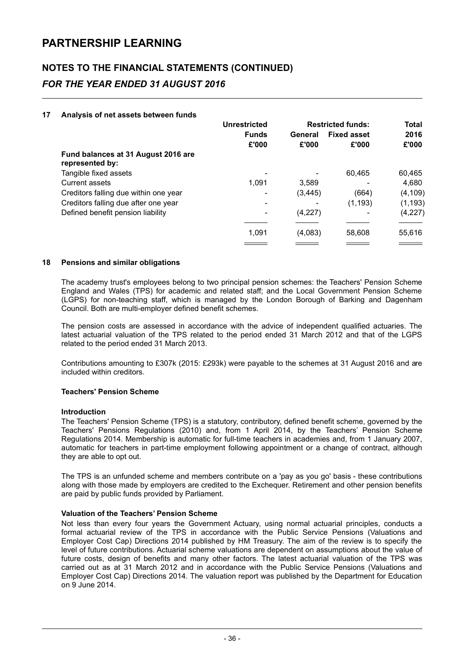### NOTES TO THE FINANCIAL STATEMENTS (CONTINUED) FOR THE YEAR ENDED 31 AUGUST 2016

#### 17 Analysis of net assets between funds

|                                                        | <b>Unrestricted</b> |          | <b>Restricted funds:</b> | <b>Total</b> |
|--------------------------------------------------------|---------------------|----------|--------------------------|--------------|
|                                                        | <b>Funds</b>        | General  | <b>Fixed asset</b>       | 2016         |
|                                                        | £'000               | £'000    | £'000                    | £'000        |
| Fund balances at 31 August 2016 are<br>represented by: |                     |          |                          |              |
| Tangible fixed assets                                  |                     |          | 60.465                   | 60,465       |
| <b>Current assets</b>                                  | 1.091               | 3.589    |                          | 4,680        |
| Creditors falling due within one year                  |                     | (3, 445) | (664)                    | (4, 109)     |
| Creditors falling due after one year                   |                     |          | (1, 193)                 | (1, 193)     |
| Defined benefit pension liability                      |                     | (4,227)  |                          | (4,227)      |
|                                                        | 1,091               | (4,083)  | 58,608                   | 55,616       |
|                                                        |                     |          |                          |              |

#### 18 Pensions and similar obligations

The academy trust's employees belong to two principal pension schemes: the Teachers' Pension Scheme England and Wales (TPS) for academic and related staff; and the Local Government Pension Scheme (LGPS) for non-teaching staff, which is managed by the London Borough of Barking and Dagenham Council. Both are multi-employer defined benefit schemes.

The pension costs are assessed in accordance with the advice of independent qualified actuaries. The latest actuarial valuation of the TPS related to the period ended 31 March 2012 and that of the LGPS related to the period ended 31 March 2013.

Contributions amounting to £307k (2015: £293k) were payable to the schemes at 31 August 2016 and are included within creditors.

#### Teachers' Pension Scheme

#### Introduction

The Teachers' Pension Scheme (TPS) is a statutory, contributory, defined benefit scheme, governed by the Teachers' Pensions Regulations (2010) and, from 1 April 2014, by the Teachers' Pension Scheme Regulations 2014. Membership is automatic for full-time teachers in academies and, from 1 January 2007, automatic for teachers in part-time employment following appointment or a change of contract, although they are able to opt out.

The TPS is an unfunded scheme and members contribute on a 'pay as you go' basis - these contributions along with those made by employers are credited to the Exchequer. Retirement and other pension benefits are paid by public funds provided by Parliament.

#### Valuation of the Teachers' Pension Scheme

Not less than every four years the Government Actuary, using normal actuarial principles, conducts a formal actuarial review of the TPS in accordance with the Public Service Pensions (Valuations and Employer Cost Cap) Directions 2014 published by HM Treasury. The aim of the review is to specify the level of future contributions. Actuarial scheme valuations are dependent on assumptions about the value of future costs, design of benefits and many other factors. The latest actuarial valuation of the TPS was carried out as at 31 March 2012 and in accordance with the Public Service Pensions (Valuations and Employer Cost Cap) Directions 2014. The valuation report was published by the Department for Education on 9 June 2014.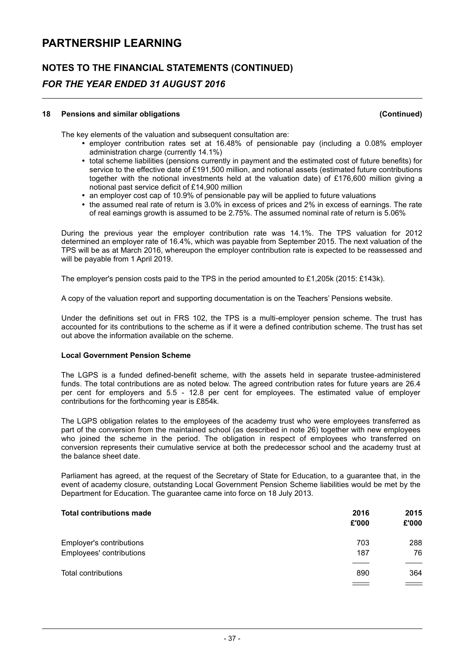### NOTES TO THE FINANCIAL STATEMENTS (CONTINUED)

### FOR THE YEAR ENDED 31 AUGUST 2016

#### 18 Pensions and similar obligations (Continued)

The key elements of the valuation and subsequent consultation are:

- $\cdot$  employer contribution rates set at 16.48% of pensionable pay (including a 0.08% employer administration charge (currently 14.1%)
- total scheme liabilities (pensions currently in payment and the estimated cost of future benefits) for service to the effective date of £191,500 million, and notional assets (estimated future contributions together with the notional investments held at the valuation date) of £176,600 million giving a notional past service deficit of £14,900 million
- an employer cost cap of 10.9% of pensionable pay will be applied to future valuations
- the assumed real rate of return is 3.0% in excess of prices and 2% in excess of earnings. The rate of real earnings growth is assumed to be 2.75%. The assumed nominal rate of return is 5.06%

During the previous year the employer contribution rate was 14.1%. The TPS valuation for 2012 determined an employer rate of 16.4%, which was payable from September 2015. The next valuation of the TPS will be as at March 2016, whereupon the employer contribution rate is expected to be reassessed and will be payable from 1 April 2019.

The employer's pension costs paid to the TPS in the period amounted to £1,205k (2015: £143k).

A copy of the valuation report and supporting documentation is on the Teachers' Pensions website.

Under the definitions set out in FRS 102, the TPS is a multi-employer pension scheme. The trust has accounted for its contributions to the scheme as if it were a defined contribution scheme. The trust has set out above the information available on the scheme.

#### Local Government Pension Scheme

The LGPS is a funded defined-benefit scheme, with the assets held in separate trustee-administered funds. The total contributions are as noted below. The agreed contribution rates for future years are 26.4 per cent for employers and 5.5 - 12.8 per cent for employees. The estimated value of employer contributions for the forthcoming year is £854k.

The LGPS obligation relates to the employees of the academy trust who were employees transferred as part of the conversion from the maintained school (as described in note 26) together with new employees who joined the scheme in the period. The obligation in respect of employees who transferred on conversion represents their cumulative service at both the predecessor school and the academy trust at the balance sheet date.

Parliament has agreed, at the request of the Secretary of State for Education, to a guarantee that, in the event of academy closure, outstanding Local Government Pension Scheme liabilities would be met by the Department for Education. The guarantee came into force on 18 July 2013.

| <b>Total contributions made</b>                      | 2016<br>£'000 | 2015<br>£'000              |
|------------------------------------------------------|---------------|----------------------------|
| Employer's contributions<br>Employees' contributions | 703<br>187    | 288<br>76                  |
| Total contributions                                  | 890           | 364<br><u> a shekara t</u> |
|                                                      |               |                            |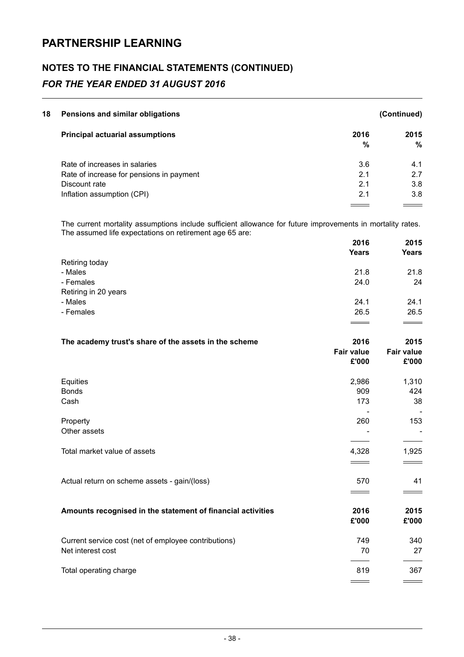### NOTES TO THE FINANCIAL STATEMENTS (CONTINUED) FOR THE YEAR ENDED 31 AUGUST 2016

| 18 | Pensions and similar obligations         |      | (Continued) |
|----|------------------------------------------|------|-------------|
|    | <b>Principal actuarial assumptions</b>   | 2016 | 2015        |
|    |                                          | %    | %           |
|    | Rate of increases in salaries            | 3.6  | 4.1         |
|    | Rate of increase for pensions in payment | 2.1  | 2.7         |
|    | Discount rate                            | 2.1  | 3.8         |
|    | Inflation assumption (CPI)               | 2.1  | 3.8         |
|    |                                          |      |             |

The current mortality assumptions include sufficient allowance for future improvements in mortality rates. The assumed life expectations on retirement age 65 are:

|                      | 2016         | 2015         |
|----------------------|--------------|--------------|
|                      | <b>Years</b> | <b>Years</b> |
| Retiring today       |              |              |
| - Males              | 21.8         | 21.8         |
| - Females            | 24.0         | 24           |
| Retiring in 20 years |              |              |
| - Males              | 24.1         | 24.1         |
| - Females            | 26.5         | 26.5         |
|                      |              |              |

| The academy trust's share of the assets in the scheme       | 2016              | 2015              |
|-------------------------------------------------------------|-------------------|-------------------|
|                                                             | <b>Fair value</b> | <b>Fair value</b> |
|                                                             | £'000             | £'000             |
| Equities                                                    | 2,986             | 1,310             |
| <b>Bonds</b>                                                | 909               | 424               |
| Cash                                                        | 173               | 38                |
| Property                                                    | 260               | 153               |
| Other assets                                                |                   |                   |
| Total market value of assets                                | 4,328             | 1,925             |
|                                                             |                   |                   |
| Actual return on scheme assets - gain/(loss)                | 570               | 41                |
|                                                             |                   |                   |
| Amounts recognised in the statement of financial activities | 2016              | 2015              |
|                                                             | £'000             | £'000             |
| Current service cost (net of employee contributions)        | 749               | 340               |
| Net interest cost                                           | 70                | 27                |
| Total operating charge                                      | 819               | 367               |
|                                                             |                   |                   |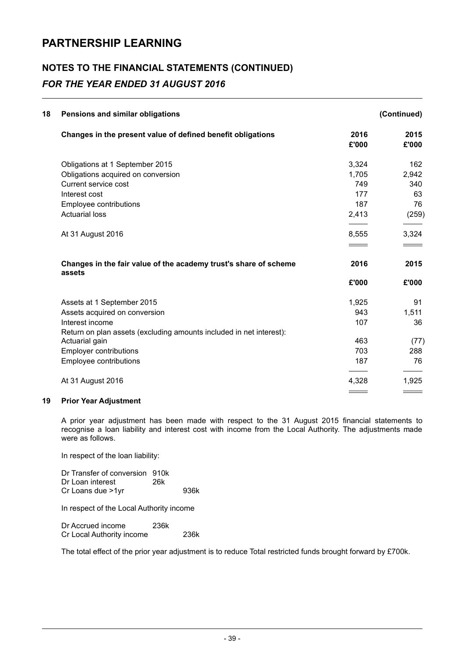### NOTES TO THE FINANCIAL STATEMENTS (CONTINUED) FOR THE YEAR ENDED 31 AUGUST 2016

| 18<br>Pensions and similar obligations                                     |               | (Continued)   |
|----------------------------------------------------------------------------|---------------|---------------|
| Changes in the present value of defined benefit obligations                | 2016<br>£'000 | 2015<br>£'000 |
| Obligations at 1 September 2015                                            | 3,324         | 162           |
| Obligations acquired on conversion                                         | 1,705         | 2,942         |
| Current service cost                                                       | 749           | 340           |
| Interest cost                                                              | 177           | 63            |
| Employee contributions                                                     | 187           | 76            |
| <b>Actuarial loss</b>                                                      | 2,413         | (259)         |
| At 31 August 2016                                                          | 8,555         | 3,324         |
|                                                                            |               |               |
| Changes in the fair value of the academy trust's share of scheme<br>assets | 2016          | 2015          |
|                                                                            | £'000         | £'000         |
| Assets at 1 September 2015                                                 | 1,925         | 91            |
| Assets acquired on conversion                                              | 943           | 1,511         |
| Interest income                                                            | 107           | 36            |
| Return on plan assets (excluding amounts included in net interest):        |               |               |
| Actuarial gain                                                             | 463           | (77)          |
| <b>Employer contributions</b>                                              | 703           | 288           |
| Employee contributions                                                     | 187           | 76            |
| At 31 August 2016                                                          | 4,328         | 1,925         |
|                                                                            |               |               |

#### 19 Prior Year Adjustment

A prior year adjustment has been made with respect to the 31 August 2015 financial statements to recognise a loan liability and interest cost with income from the Local Authority. The adjustments made were as follows.

In respect of the loan liability:

Dr Transfer of conversion 910k<br>Dr Loan interest 26k Dr Loan interest Cr Loans due >1yr 936k

In respect of the Local Authority income

| Dr Accrued income         | 236k |      |
|---------------------------|------|------|
| Cr Local Authority income |      | 236k |

The total effect of the prior year adjustment is to reduce Total restricted funds brought forward by £700k.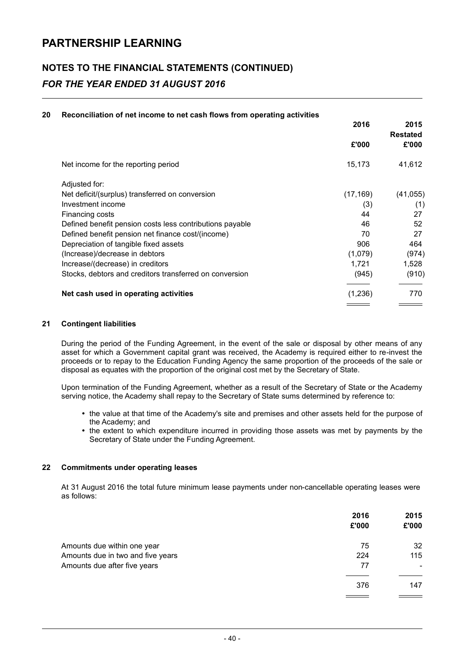### NOTES TO THE FINANCIAL STATEMENTS (CONTINUED) FOR THE YEAR ENDED 31 AUGUST 2016

#### 20 Reconciliation of net income to net cash flows from operating activities

|                                                          | 2016      | 2015<br><b>Restated</b> |
|----------------------------------------------------------|-----------|-------------------------|
|                                                          | £'000     | £'000                   |
| Net income for the reporting period                      | 15,173    | 41,612                  |
| Adjusted for:                                            |           |                         |
| Net deficit/(surplus) transferred on conversion          | (17, 169) | (41, 055)               |
| Investment income                                        | (3)       | (1)                     |
| Financing costs                                          | 44        | 27                      |
| Defined benefit pension costs less contributions payable | 46        | 52                      |
| Defined benefit pension net finance cost/(income)        | 70        | 27                      |
| Depreciation of tangible fixed assets                    | 906       | 464                     |
| (Increase)/decrease in debtors                           | (1,079)   | (974)                   |
| Increase/(decrease) in creditors                         | 1,721     | 1,528                   |
| Stocks, debtors and creditors transferred on conversion  | (945)     | (910)                   |
| Net cash used in operating activities                    | (1,236)   | 770                     |
|                                                          |           |                         |

#### 21 Contingent liabilities

During the period of the Funding Agreement, in the event of the sale or disposal by other means of any asset for which a Government capital grant was received, the Academy is required either to re-invest the proceeds or to repay to the Education Funding Agency the same proportion of the proceeds of the sale or disposal as equates with the proportion of the original cost met by the Secretary of State.

Upon termination of the Funding Agreement, whether as a result of the Secretary of State or the Academy serving notice, the Academy shall repay to the Secretary of State sums determined by reference to:

- the value at that time of the Academy's site and premises and other assets held for the purpose of the Academy; and
- the extent to which expenditure incurred in providing those assets was met by payments by the Secretary of State under the Funding Agreement.

#### 22 Commitments under operating leases

At 31 August 2016 the total future minimum lease payments under non-cancellable operating leases were as follows:

|                                   | 2016<br>£'000 | 2015<br>£'000 |
|-----------------------------------|---------------|---------------|
| Amounts due within one year       | 75            | 32            |
| Amounts due in two and five years | 224           | 115           |
| Amounts due after five years      | 77            |               |
|                                   | 376           | 147           |
|                                   |               |               |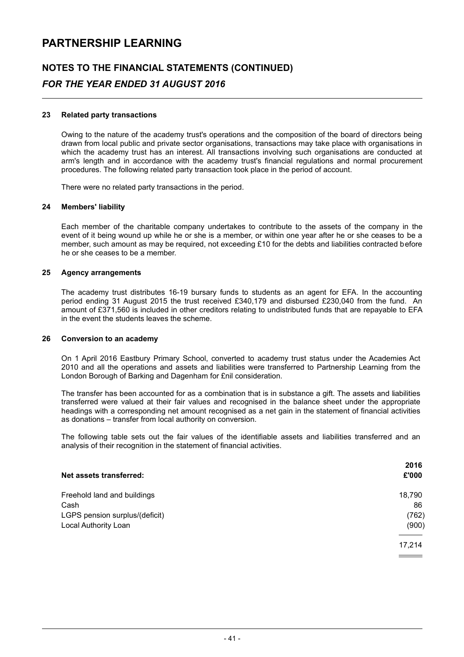### NOTES TO THE FINANCIAL STATEMENTS (CONTINUED)

### FOR THE YEAR ENDED 31 AUGUST 2016

#### 23 Related party transactions

Owing to the nature of the academy trust's operations and the composition of the board of directors being drawn from local public and private sector organisations, transactions may take place with organisations in which the academy trust has an interest. All transactions involving such organisations are conducted at arm's length and in accordance with the academy trust's financial regulations and normal procurement procedures. The following related party transaction took place in the period of account.

There were no related party transactions in the period.

#### 24 Members' liability

Each member of the charitable company undertakes to contribute to the assets of the company in the event of it being wound up while he or she is a member, or within one year after he or she ceases to be a member, such amount as may be required, not exceeding £10 for the debts and liabilities contracted before he or she ceases to be a member.

#### 25 Agency arrangements

The academy trust distributes 16-19 bursary funds to students as an agent for EFA. In the accounting period ending 31 August 2015 the trust received £340,179 and disbursed £230,040 from the fund. An amount of £371,560 is included in other creditors relating to undistributed funds that are repayable to EFA in the event the students leaves the scheme.

#### 26 Conversion to an academy

On 1 April 2016 Eastbury Primary School, converted to academy trust status under the Academies Act 2010 and all the operations and assets and liabilities were transferred to Partnership Learning from the London Borough of Barking and Dagenham for £nil consideration.

The transfer has been accounted for as a combination that is in substance a gift. The assets and liabilities transferred were valued at their fair values and recognised in the balance sheet under the appropriate headings with a corresponding net amount recognised as a net gain in the statement of financial activities as donations – transfer from local authority on conversion.

The following table sets out the fair values of the identifiable assets and liabilities transferred and an analysis of their recognition in the statement of financial activities.

| Net assets transferred:        | 2016<br>£'000 |
|--------------------------------|---------------|
|                                |               |
| Freehold land and buildings    | 18,790        |
| Cash                           | 86            |
| LGPS pension surplus/(deficit) | (762)         |
| Local Authority Loan           | (900)         |
|                                | 17,214        |
|                                |               |